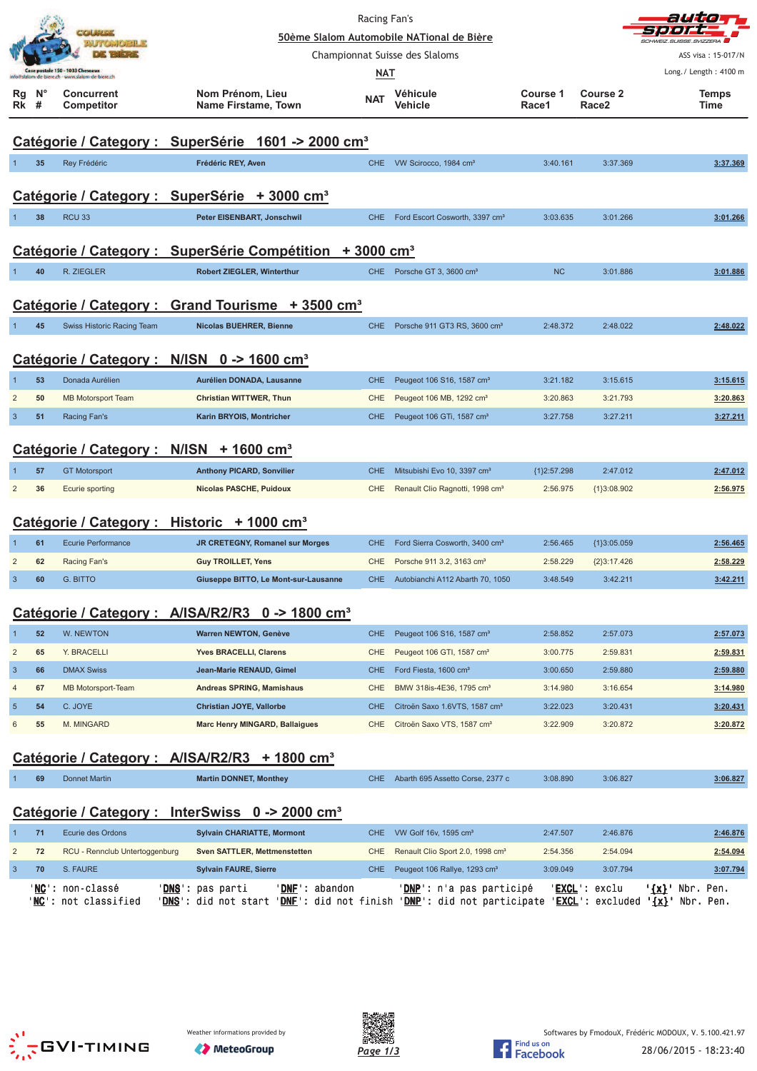|                               |                                  |                                                            |                                                                                                                                                                                                          | Racing Fan's            |                                                |                   |                   | auto                     |
|-------------------------------|----------------------------------|------------------------------------------------------------|----------------------------------------------------------------------------------------------------------------------------------------------------------------------------------------------------------|-------------------------|------------------------------------------------|-------------------|-------------------|--------------------------|
|                               |                                  | COURSE                                                     |                                                                                                                                                                                                          |                         | 50ème Slalom Automobile NATional de Bière      |                   |                   | SCHWEIZ SLIISSE SVIZZERA |
|                               | Case postale 150 - 1033 Cheseaux |                                                            |                                                                                                                                                                                                          |                         | Championnat Suisse des Slaloms                 |                   |                   | ASS visa: 15-017/N       |
|                               |                                  | info@slatom-de-biere.ch - www.slatom-de-biere.ch           |                                                                                                                                                                                                          | NAT                     |                                                |                   |                   | Long./ Length: 4100 m    |
| $N^{\circ}$<br>Rg<br>Rk<br>#  |                                  | <b>Concurrent</b><br><b>Competitor</b>                     | Nom Prénom, Lieu<br>Name Firstame, Town                                                                                                                                                                  | <b>NAT</b>              | Véhicule<br>Vehicle                            | Course 1<br>Race1 | Course 2<br>Race2 | <b>Temps</b><br>Time     |
|                               |                                  |                                                            | Catégorie / Category : SuperSérie 1601 -> 2000 cm <sup>3</sup>                                                                                                                                           |                         |                                                |                   |                   |                          |
| 35                            |                                  | Rey Frédéric                                               | Frédéric REY, Aven                                                                                                                                                                                       | <b>CHE</b>              | VW Scirocco, 1984 cm <sup>3</sup>              | 3:40.161          | 3:37.369          | 3:37.369                 |
|                               |                                  |                                                            | Catégorie / Category : SuperSérie + 3000 cm <sup>3</sup>                                                                                                                                                 |                         |                                                |                   |                   |                          |
| 38                            |                                  | <b>RCU 33</b>                                              | Peter EISENBART, Jonschwil                                                                                                                                                                               |                         | CHE Ford Escort Cosworth, 3397 cm <sup>3</sup> | 3:03.635          | 3:01.266          | 3:01.266                 |
|                               |                                  |                                                            |                                                                                                                                                                                                          |                         |                                                |                   |                   |                          |
|                               |                                  |                                                            | Catégorie / Category : SuperSérie Compétition                                                                                                                                                            | $+3000$ cm <sup>3</sup> |                                                |                   |                   |                          |
| 40                            |                                  | R. ZIEGLER                                                 | <b>Robert ZIEGLER, Winterthur</b>                                                                                                                                                                        |                         | CHE Porsche GT 3, 3600 cm <sup>3</sup>         | NC                | 3:01.886          | 3:01.886                 |
|                               |                                  |                                                            | Catégorie / Category : Grand Tourisme + 3500 cm <sup>3</sup>                                                                                                                                             |                         |                                                |                   |                   |                          |
| 45                            |                                  | Swiss Historic Racing Team                                 | <b>Nicolas BUEHRER, Bienne</b>                                                                                                                                                                           | <b>CHE</b>              | Porsche 911 GT3 RS, 3600 cm <sup>3</sup>       | 2:48.372          | 2:48.022          | 2:48.022                 |
|                               |                                  |                                                            | Catégorie / Category : N/ISN 0 -> 1600 cm <sup>3</sup>                                                                                                                                                   |                         |                                                |                   |                   |                          |
| 53                            |                                  | Donada Aurélien                                            | Aurélien DONADA, Lausanne                                                                                                                                                                                | <b>CHE</b>              | Peugeot 106 S16, 1587 cm <sup>3</sup>          | 3:21.182          | 3:15.615          | 3:15.615                 |
| $\overline{2}$<br>50          |                                  | <b>MB Motorsport Team</b>                                  | <b>Christian WITTWER, Thun</b>                                                                                                                                                                           | <b>CHE</b>              | Peugeot 106 MB, 1292 cm <sup>3</sup>           | 3:20.863          | 3:21.793          | 3:20.863                 |
| $\mathbf{3}$<br>51            |                                  | Racing Fan's                                               | Karin BRYOIS, Montricher                                                                                                                                                                                 | <b>CHE</b>              | Peugeot 106 GTi, 1587 cm <sup>3</sup>          | 3:27.758          | 3:27.211          | 3:27.211                 |
|                               |                                  | Catégorie / Category :                                     | $N/ISM$ + 1600 cm <sup>3</sup>                                                                                                                                                                           |                         |                                                |                   |                   |                          |
| 57                            |                                  | <b>GT Motorsport</b>                                       | <b>Anthony PICARD, Sonvilier</b>                                                                                                                                                                         | <b>CHE</b>              | Mitsubishi Evo 10, 3397 cm <sup>3</sup>        | ${1}2:57.298$     | 2:47.012          | 2:47.012                 |
| $\overline{2}$<br>36          |                                  | Ecurie sporting                                            | Nicolas PASCHE, Puidoux                                                                                                                                                                                  | <b>CHE</b>              | Renault Clio Ragnotti, 1998 cm <sup>3</sup>    | 2:56.975          | ${1}3:08.902$     | 2:56.975                 |
|                               |                                  |                                                            | Catégorie / Category : Historic + 1000 cm <sup>3</sup>                                                                                                                                                   |                         |                                                |                   |                   |                          |
| 61                            |                                  | <b>Ecurie Performance</b>                                  | JR CRETEGNY, Romanel sur Morges                                                                                                                                                                          | <b>CHE</b>              | Ford Sierra Cosworth, 3400 cm <sup>3</sup>     | 2:56.465          | ${1}3:05.059$     | 2:56.465                 |
| $\overline{2}$<br>62          |                                  | Racing Fan's                                               | <b>Guy TROILLET, Yens</b>                                                                                                                                                                                | <b>CHE</b>              | Porsche 911 3.2, 3163 cm <sup>3</sup>          | 2:58.229          | ${2}3:17.426$     | 2:58.229                 |
| 3<br>60                       |                                  | G. BITTO                                                   | Giuseppe BITTO, Le Mont-sur-Lausanne                                                                                                                                                                     |                         | CHE Autobianchi A112 Abarth 70, 1050           | 3:48.549          | 3:42.211          | 3:42.211                 |
|                               |                                  |                                                            | Catégorie / Category : A/ISA/R2/R3 0 -> 1800 cm <sup>3</sup>                                                                                                                                             |                         |                                                |                   |                   |                          |
| 52                            |                                  | W. NEWTON                                                  | <b>Warren NEWTON, Genève</b>                                                                                                                                                                             | <b>CHE</b>              | Peugeot 106 S16, 1587 cm <sup>3</sup>          | 2:58.852          | 2:57.073          | 2:57.073                 |
| $\overline{\mathbf{c}}$<br>65 |                                  | Y. BRACELLI                                                | <b>Yves BRACELLI, Clarens</b>                                                                                                                                                                            | CHE                     | Peugeot 106 GTI, 1587 cm <sup>3</sup>          | 3:00.775          | 2:59.831          | 2:59.831                 |
| $\mathbf{3}$<br>66            |                                  | <b>DMAX Swiss</b>                                          | Jean-Marie RENAUD, Gimel                                                                                                                                                                                 | <b>CHE</b>              | Ford Fiesta, 1600 cm <sup>3</sup>              | 3:00.650          | 2:59.880          | 2:59.880                 |
| 67<br>4                       |                                  | MB Motorsport-Team                                         | Andreas SPRING, Mamishaus                                                                                                                                                                                | <b>CHE</b>              | BMW 318is-4E36, 1795 cm <sup>3</sup>           | 3:14.980          | 3:16.654          | 3:14.980                 |
| $\sqrt{5}$<br>54              |                                  | C. JOYE                                                    | Christian JOYE, Vallorbe                                                                                                                                                                                 | <b>CHE</b>              | Citroën Saxo 1.6VTS, 1587 cm <sup>3</sup>      | 3:22.023          | 3:20.431          | 3:20.431                 |
| 6<br>55                       |                                  | M. MINGARD                                                 | <b>Marc Henry MINGARD, Ballaigues</b>                                                                                                                                                                    | <b>CHE</b>              | Citroën Saxo VTS, 1587 cm <sup>3</sup>         | 3:22.909          | 3:20.872          | 3:20.872                 |
|                               |                                  |                                                            | Catégorie / Category : A/ISA/R2/R3 + 1800 cm <sup>3</sup>                                                                                                                                                |                         |                                                |                   |                   |                          |
| 69                            |                                  | Donnet Martin                                              | <b>Martin DONNET, Monthey</b>                                                                                                                                                                            | CHE                     | Abarth 695 Assetto Corse, 2377 c               | 3:08.890          | 3:06.827          | 3:06.827                 |
|                               |                                  |                                                            | Catégorie / Category : InterSwiss 0 -> 2000 cm <sup>3</sup>                                                                                                                                              |                         |                                                |                   |                   |                          |
| 71                            |                                  | Ecurie des Ordons                                          | <b>Sylvain CHARIATTE, Mormont</b>                                                                                                                                                                        | <b>CHE</b>              | VW Golf 16v, 1595 cm <sup>3</sup>              | 2:47.507          | 2:46.876          | 2:46.876                 |
| $\overline{\mathbf{c}}$<br>72 |                                  | RCU - Rennclub Untertoggenburg                             | Sven SATTLER, Mettmenstetten                                                                                                                                                                             | CHE                     | Renault Clio Sport 2.0, 1998 cm <sup>3</sup>   | 2:54.356          | 2:54.094          | 2:54.094                 |
| $\mathbf{3}$<br>70            |                                  | S. FAURE                                                   | <b>Sylvain FAURE, Sierre</b>                                                                                                                                                                             | <b>CHE</b>              | Peugeot 106 Rallye, 1293 cm <sup>3</sup>       | 3:09.049          | 3:07.794          | 3:07.794                 |
|                               |                                  | ' <b>NC</b> ': non-classé<br>' <b>NC</b> ': not classified | 'DNF': abandon<br>' <u>DNS</u> ': pas parti<br>' <mark>DNS</mark> ': did not start ' <u>DNF</u> ': did not finish ' <u>DNP</u> ': did not participate ' <u>EXCL</u> ': excluded ' <u>{x}</u> ' Nbr. Pen. |                         | ' <u>DNP</u> ': n'a pas participé              |                   | 'EXCL': exclu     | '{x}' Nbr. Pen.          |
|                               |                                  |                                                            |                                                                                                                                                                                                          |                         |                                                |                   |                   |                          |



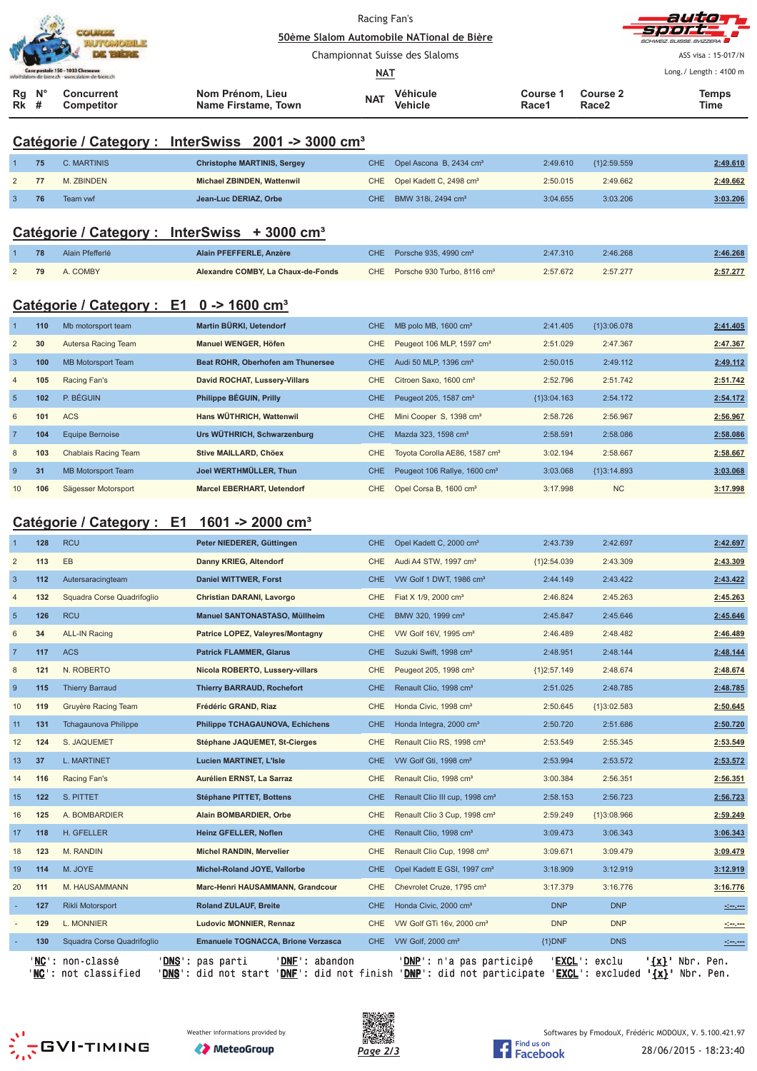|                                                                     |                                                                                      | COURSE | Racing Fan's<br>50ème Slalom Automobile NATional de Bière |            |                            |                                                        |                   | autor<br>-Sport<br>SCHWEIZ SUISSE SVIZZERA |
|---------------------------------------------------------------------|--------------------------------------------------------------------------------------|--------|-----------------------------------------------------------|------------|----------------------------|--------------------------------------------------------|-------------------|--------------------------------------------|
|                                                                     | Case postale 150 - 1033 Cheseaux<br>info@slatom-de-biere.ch - www.slatom-de-biere.ch |        | Championnat Suisse des Slaloms                            |            |                            | ASS visa: 15-017/N<br>Long. / Length: $4100 \text{ m}$ |                   |                                            |
| $N^{\circ}$<br>Rg<br>Concurrent<br><b>Rk</b> #<br><b>Competitor</b> |                                                                                      |        | Nom Prénom, Lieu<br>Name Firstame, Town                   | <b>NAT</b> | Véhicule<br><b>Vehicle</b> | Course '<br>Race1                                      | Course 2<br>Race2 | <b>Temps</b><br>Time                       |

## **Catégorie / Category : InterSwiss 2001 -> 3000 cm³**

| 75 | C. MARTINIS | <b>Christophe MARTINIS, Sergey</b> | CHE Opel Ascona B, 2434 cm <sup>3</sup> | 2:49.610 | ${112:59.559}$ | 2:49.610 |
|----|-------------|------------------------------------|-----------------------------------------|----------|----------------|----------|
|    | M. ZBINDEN  | Michael ZBINDEN, Wattenwil         | CHE Opel Kadett C, 2498 cm <sup>3</sup> | 2:50.015 | 2:49.662       | 2:49.662 |
|    | Team vwf    | Jean-Luc DERIAZ, Orbe              | CHE BMW 318i, 2494 cm <sup>3</sup>      | 3:04.655 | 3:03.206       | 3:03.206 |

#### **Catégorie / Category : InterSwiss + 3000 cm³**

|      | Alain Pfefferlé | Alain PFEFFERLE, Anzère            | CHE Porsche 935, 4990 $cm3$                 | 2:47.310 | 2:46.268 | 2:46.268 |
|------|-----------------|------------------------------------|---------------------------------------------|----------|----------|----------|
| 2 79 | A. COMBY        | Alexandre COMBY, La Chaux-de-Fonds | CHE Porsche 930 Turbo, 8116 cm <sup>3</sup> | 2:57.672 | 2:57.277 | 2:57.277 |

## **Catégorie / Category : E1 0 -> 1600 cm³**

|                 | 110 | Mb motorsport team        | Martin BÜRKI, Uetendorf           | CHE        | MB polo MB, 1600 cm <sup>3</sup>          | 2:41.405      | ${13:06.078}$ | 2:41.405 |
|-----------------|-----|---------------------------|-----------------------------------|------------|-------------------------------------------|---------------|---------------|----------|
| $\overline{2}$  | 30  | Autersa Racing Team       | Manuel WENGER, Höfen              | <b>CHE</b> | Peugeot 106 MLP, 1597 cm <sup>3</sup>     | 2:51.029      | 2:47.367      | 2:47.367 |
| $\mathbf{3}$    | 100 | <b>MB Motorsport Team</b> | Beat ROHR, Oberhofen am Thunersee | CHE.       | Audi 50 MLP. 1396 cm <sup>3</sup>         | 2:50.015      | 2:49.112      | 2:49.112 |
| $\overline{4}$  | 105 | Racing Fan's              | David ROCHAT, Lussery-Villars     | CHE        | Citroen Saxo, 1600 cm <sup>3</sup>        | 2:52.796      | 2:51.742      | 2:51.742 |
| $5\overline{5}$ | 102 | P. BÉGUIN                 | Philippe BÉGUIN, Prilly           | CHE.       | Peugeot 205, 1587 cm <sup>3</sup>         | ${13:04.163}$ | 2:54.172      | 2:54.172 |
| 6               | 101 | <b>ACS</b>                | Hans WÜTHRICH, Wattenwil          | CHE        | Mini Cooper S, 1398 cm <sup>3</sup>       | 2:58.726      | 2:56.967      | 2:56.967 |
|                 | 104 | Equipe Bernoise           | Urs WÜTHRICH, Schwarzenburg       | <b>CHE</b> | Mazda 323, 1598 cm <sup>3</sup>           | 2:58.591      | 2:58.086      | 2:58.086 |
| 8               | 103 | Chablais Racing Team      | Stive MAILLARD, Chöex             | CHE        | Toyota Corolla AE86, 1587 cm <sup>3</sup> | 3:02.194      | 2:58.667      | 2:58.667 |
| 9               | 31  | <b>MB Motorsport Team</b> | Joel WERTHMÜLLER, Thun            | <b>CHE</b> | Peugeot 106 Rallye, 1600 cm <sup>3</sup>  | 3:03.068      | ${13:14.893}$ | 3:03.068 |
| 10              | 106 | Sägesser Motorsport       | <b>Marcel EBERHART, Uetendorf</b> | CHE        | Opel Corsa B, 1600 cm <sup>3</sup>        | 3:17.998      | <b>NC</b>     | 3:17.998 |

# **Catégorie / Category : E1 1601 -> 2000 cm³**

|                |     | ' <b>NC</b> ': non-classé<br>'DNS' | DNF': abandon<br>pas parti         |            | ' <b>DNP</b> ': n'a pas participé          | ' <b>EXCL</b> ': exclu |               | '{x}' Nbr. Pen.                                                                                                      |
|----------------|-----|------------------------------------|------------------------------------|------------|--------------------------------------------|------------------------|---------------|----------------------------------------------------------------------------------------------------------------------|
|                | 130 | Squadra Corse Quadrifoglio         | Emanuele TOGNACCA, Brione Verzasca |            | CHE VW Golf, 2000 cm <sup>3</sup>          | ${1}$ DNF              | <b>DNS</b>    | <u> 1999 - 199</u>                                                                                                   |
|                | 129 | L. MONNIER                         | <b>Ludovic MONNIER, Rennaz</b>     | <b>CHE</b> | VW Golf GTi 16v, 2000 cm <sup>3</sup>      | <b>DNP</b>             | <b>DNP</b>    | <u>rimen</u>                                                                                                         |
|                | 127 | Rikli Motorsport                   | <b>Roland ZULAUF, Breite</b>       | <b>CHE</b> | Honda Civic, 2000 cm <sup>3</sup>          | <b>DNP</b>             | <b>DNP</b>    | <u> 1999 - 1999 - 1999 - 1999 - 1999 - 1999 - 1999 - 1999 - 1999 - 1999 - 1999 - 1999 - 1999 - 1999 - 1999 - 199</u> |
| 20             | 111 | M. HAUSAMMANN                      | Marc-Henri HAUSAMMANN, Grandcour   | <b>CHE</b> | Chevrolet Cruze, 1795 cm <sup>3</sup>      | 3:17.379               | 3:16.776      | 3:16.776                                                                                                             |
| 19             | 114 | M. JOYE                            | Michel-Roland JOYE, Vallorbe       | <b>CHE</b> | Opel Kadett E GSI, 1997 cm <sup>3</sup>    | 3:18.909               | 3:12.919      | 3:12.919                                                                                                             |
| 18             | 123 | M. RANDIN                          | <b>Michel RANDIN, Mervelier</b>    | <b>CHE</b> | Renault Clio Cup, 1998 cm <sup>3</sup>     | 3:09.671               | 3:09.479      | 3:09.479                                                                                                             |
| 17             | 118 | H. GFELLER                         | Heinz GFELLER, Noflen              | CHE.       | Renault Clio, 1998 cm <sup>3</sup>         | 3:09.473               | 3:06.343      | 3:06.343                                                                                                             |
| 16             | 125 | A. BOMBARDIER                      | Alain BOMBARDIER, Orbe             | CHE        | Renault Clio 3 Cup, 1998 cm <sup>3</sup>   | 2:59.249               | ${1}3:08.966$ | 2:59.249                                                                                                             |
| 15             | 122 | S. PITTET                          | <b>Stéphane PITTET, Bottens</b>    | <b>CHE</b> | Renault Clio III cup, 1998 cm <sup>3</sup> | 2:58.153               | 2:56.723      | 2:56.723                                                                                                             |
| 14             | 116 | Racing Fan's                       | Aurélien ERNST, La Sarraz          | <b>CHE</b> | Renault Clio, 1998 cm <sup>3</sup>         | 3:00.384               | 2:56.351      | 2:56.351                                                                                                             |
| 13             | 37  | <b>L. MARTINET</b>                 | <b>Lucien MARTINET, L'Isle</b>     | CHE.       | VW Golf Gti, 1998 cm <sup>3</sup>          | 2:53.994               | 2:53.572      | 2:53.572                                                                                                             |
| 12             | 124 | S. JAQUEMET                        | Stéphane JAQUEMET, St-Cierges      | <b>CHE</b> | Renault Clio RS, 1998 cm <sup>3</sup>      | 2:53.549               | 2:55.345      | 2:53.549                                                                                                             |
| 11             | 131 | <b>Tchagaunova Philippe</b>        | Philippe TCHAGAUNOVA, Echichens    | <b>CHE</b> | Honda Integra, 2000 cm <sup>3</sup>        | 2:50.720               | 2:51.686      | 2:50.720                                                                                                             |
| 10             | 119 | Gruyère Racing Team                | Frédéric GRAND, Riaz               | <b>CHE</b> | Honda Civic, 1998 cm <sup>3</sup>          | 2:50.645               | ${1}3:02.583$ | 2:50.645                                                                                                             |
| 9              | 115 | <b>Thierry Barraud</b>             | <b>Thierry BARRAUD, Rochefort</b>  | CHE.       | Renault Clio, 1998 cm <sup>3</sup>         | 2:51.025               | 2:48.785      | 2:48.785                                                                                                             |
| 8              | 121 | N. ROBERTO                         | Nicola ROBERTO, Lussery-villars    | <b>CHE</b> | Peugeot 205, 1998 cm <sup>3</sup>          | ${1}2:57.149$          | 2:48.674      | 2:48.674                                                                                                             |
| $\overline{7}$ | 117 | <b>ACS</b>                         | <b>Patrick FLAMMER, Glarus</b>     | <b>CHE</b> | Suzuki Swift, 1998 cm <sup>3</sup>         | 2:48.951               | 2:48.144      | 2:48.144                                                                                                             |
| 6              | 34  | <b>ALL-IN Racing</b>               | Patrice LOPEZ, Valeyres/Montagny   | <b>CHE</b> | VW Golf 16V, 1995 cm <sup>3</sup>          | 2:46.489               | 2:48.482      | 2:46.489                                                                                                             |
| $\overline{5}$ | 126 | <b>RCU</b>                         | Manuel SANTONASTASO, Müllheim      | <b>CHE</b> | BMW 320, 1999 cm <sup>3</sup>              | 2:45.847               | 2:45.646      | 2:45.646                                                                                                             |
| $\overline{4}$ | 132 | Squadra Corse Quadrifoglio         | Christian DARANI, Lavorgo          | <b>CHE</b> | Fiat X 1/9, 2000 cm <sup>3</sup>           | 2:46.824               | 2:45.263      | 2:45.263                                                                                                             |
| 3              | 112 | Autersaracingteam                  | <b>Daniel WITTWER, Forst</b>       | <b>CHE</b> | VW Golf 1 DWT, 1986 cm <sup>3</sup>        | 2:44.149               | 2:43.422      | 2:43.422                                                                                                             |
| $\overline{2}$ | 113 | EB                                 | Danny KRIEG, Altendorf             | <b>CHE</b> | Audi A4 STW, 1997 cm <sup>3</sup>          | {1}2:54.039            | 2:43.309      | 2:43.309                                                                                                             |
|                | 128 | <b>RCU</b>                         | Peter NIEDERER, Güttingen          | CHE.       | Opel Kadett C, 2000 cm <sup>3</sup>        | 2:43.739               | 2:42.697      | 2:42.697                                                                                                             |

'<u>NC</u>': not classified '<u>DNS</u>': did not start '<u>DNF</u>': did not finish '<u>DNP</u>': did not participate '<u>EXCL</u>': excluded **'{x}'** Nbr. Pen.



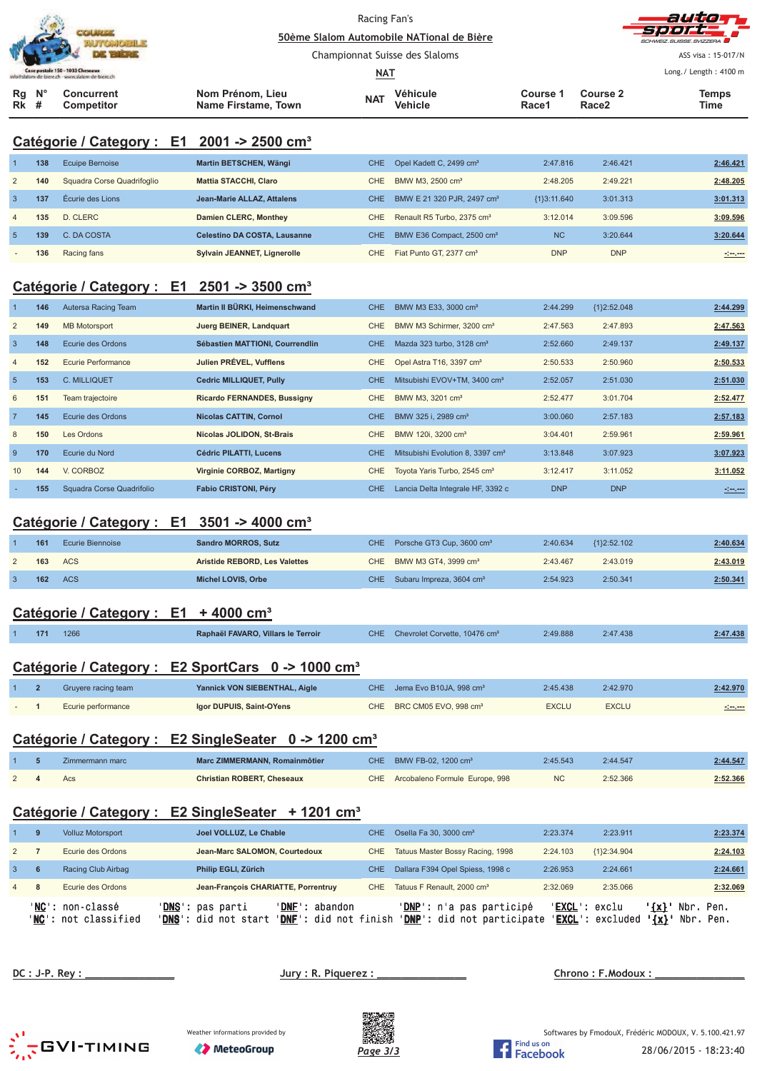|                |                  |                                                                                   | Racing Fan's<br>50ème Slalom Automobile NATional de Bière        |            |                                               |                   |                               |                       |  |
|----------------|------------------|-----------------------------------------------------------------------------------|------------------------------------------------------------------|------------|-----------------------------------------------|-------------------|-------------------------------|-----------------------|--|
|                |                  |                                                                                   |                                                                  |            | Championnat Suisse des Slaloms                |                   |                               | ASS visa: 15-017/N    |  |
|                |                  | Case postale 150 - 1033 Cheseaux<br>o@slalom-de-biere.ch - www.slalom-de-biere.ch |                                                                  | NAT        |                                               |                   |                               | Long./ Length: 4100 m |  |
| Rg<br>Rk       | $N^{\circ}$<br># | <b>Concurrent</b><br>Competitor                                                   | Nom Prénom, Lieu<br>Name Firstame, Town                          | <b>NAT</b> | Véhicule<br><b>Vehicle</b>                    | Course 1<br>Race1 | Course 2<br>Race <sub>2</sub> | <b>Temps</b><br>Time  |  |
|                |                  | Catégorie / Category : E1 2001 -> 2500 cm <sup>3</sup>                            |                                                                  |            |                                               |                   |                               |                       |  |
|                | 138              | <b>Ecuipe Bernoise</b>                                                            | Martin BETSCHEN, Wängi                                           | <b>CHE</b> | Opel Kadett C, 2499 cm <sup>3</sup>           | 2:47.816          | 2:46.421                      | 2:46.421              |  |
| $\overline{2}$ | 140              | Squadra Corse Quadrifoglio                                                        | <b>Mattia STACCHI, Claro</b>                                     | <b>CHE</b> | BMW M3, 2500 cm <sup>3</sup>                  | 2:48.205          | 2:49.221                      | 2:48.205              |  |
| $\mathbf{3}$   | 137              | Écurie des Lions                                                                  | Jean-Marie ALLAZ, Attalens                                       | <b>CHE</b> | BMW E 21 320 PJR, 2497 cm <sup>3</sup>        | ${1}3:11.640$     | 3:01.313                      | 3:01.313              |  |
| $\overline{4}$ | 135              | D. CLERC                                                                          | Damien CLERC, Monthey                                            | <b>CHE</b> | Renault R5 Turbo, 2375 cm <sup>3</sup>        | 3:12.014          | 3:09.596                      | 3:09.596              |  |
| 5              | 139              | C. DA COSTA                                                                       | Celestino DA COSTA, Lausanne                                     | <b>CHE</b> | BMW E36 Compact, 2500 cm <sup>3</sup>         | NC                | 3:20.644                      | 3:20.644              |  |
|                | 136              | Racing fans                                                                       | Sylvain JEANNET, Lignerolle                                      | <b>CHE</b> | Fiat Punto GT, 2377 cm <sup>3</sup>           | <b>DNP</b>        | <b>DNP</b>                    |                       |  |
|                |                  | Catégorie / Category : $E1$ 2501 -> 3500 cm <sup>3</sup>                          |                                                                  |            |                                               |                   |                               |                       |  |
|                | 146              | Autersa Racing Team                                                               | Martin II BÜRKI, Heimenschwand                                   | <b>CHE</b> | BMW M3 E33, 3000 cm <sup>3</sup>              | 2:44.299          | {1}2:52.048                   | 2:44.299              |  |
| $\overline{2}$ | 149              | <b>MB Motorsport</b>                                                              | Juerg BEINER, Landquart                                          | <b>CHE</b> | BMW M3 Schirmer, 3200 cm <sup>3</sup>         | 2:47.563          | 2:47.893                      | 2:47.563              |  |
| $\overline{3}$ | 148              | Ecurie des Ordons                                                                 | Sébastien MATTIONI, Courrendlin                                  | <b>CHE</b> | Mazda 323 turbo, 3128 cm <sup>3</sup>         | 2:52.660          | 2:49.137                      | 2:49.137              |  |
| $\overline{4}$ | 152              | Ecurie Performance                                                                | Julien PREVEL, Vufflens                                          | CHE        | Opel Astra T16, 3397 cm <sup>3</sup>          | 2:50.533          | 2:50.960                      | 2:50.533              |  |
| $\sqrt{5}$     | 153              | <b>C. MILLIQUET</b>                                                               | <b>Cedric MILLIQUET, Pully</b>                                   | <b>CHE</b> | Mitsubishi EVOV+TM, 3400 cm <sup>3</sup>      | 2:52.057          | 2:51.030                      | 2:51.030              |  |
| 6              | 151              | Team trajectoire                                                                  | <b>Ricardo FERNANDES, Bussigny</b>                               | CHE        | BMW M3, 3201 cm <sup>3</sup>                  | 2:52.477          | 3:01.704                      | 2:52.477              |  |
| $\overline{7}$ | 145              | Ecurie des Ordons                                                                 | <b>Nicolas CATTIN, Cornol</b>                                    | <b>CHE</b> | BMW 325 i, 2989 cm <sup>3</sup>               | 3:00.060          | 2:57.183                      | 2:57.183              |  |
| 8              | 150              | Les Ordons                                                                        | Nicolas JOLIDON, St-Brais                                        | CHE        | BMW 120i, 3200 cm <sup>3</sup>                | 3:04.401          | 2:59.961                      | 2:59.961              |  |
| 9              | 170              | Ecurie du Nord                                                                    | Cédric PILATTI, Lucens                                           | <b>CHE</b> | Mitsubishi Evolution 8, 3397 cm <sup>3</sup>  | 3:13.848          | 3:07.923                      | 3:07.923              |  |
| 10             | 144              | V. CORBOZ                                                                         | Virginie CORBOZ, Martigny                                        | CHE        | Toyota Yaris Turbo, 2545 cm <sup>3</sup>      | 3:12.417          | 3:11.052                      | 3:11.052              |  |
|                | 155              | Squadra Corse Quadrifolio                                                         | Fabio CRISTONI, Péry                                             | CHE        | Lancia Delta Integrale HF, 3392 c             | <b>DNP</b>        | <b>DNP</b>                    | <u> 1000 -</u>        |  |
|                |                  | Catégorie / Category : E1 3501 -> 4000 cm <sup>3</sup>                            |                                                                  |            |                                               |                   |                               |                       |  |
|                | 161              | <b>Ecurie Biennoise</b>                                                           | <b>Sandro MORROS, Sutz</b>                                       | CHE.       | Porsche GT3 Cup, 3600 cm <sup>3</sup>         | 2:40.634          | ${1}2:52.102$                 | 2:40.634              |  |
| $\overline{2}$ | 163              | <b>ACS</b>                                                                        | Aristide REBORD, Les Valettes                                    | <b>CHE</b> | BMW M3 GT4, 3999 cm <sup>3</sup>              | 2:43.467          | 2:43.019                      | 2:43.019              |  |
| $\mathbf{3}$   | 162              | <b>ACS</b>                                                                        | Michel LOVIS, Orbe                                               | CHE        | Subaru Impreza, 3604 cm <sup>3</sup>          | 2:54.923          | 2:50.341                      | 2:50.341              |  |
|                |                  | Catégorie / Category : E1                                                         | $+4000$ cm <sup>3</sup>                                          |            |                                               |                   |                               |                       |  |
| 1              | 171              | 1266                                                                              | Raphaël FAVARO, Villars le Terroir                               |            | CHE Chevrolet Corvette, 10476 cm <sup>3</sup> | 2:49.888          | 2:47.438                      | 2:47.438              |  |
|                |                  |                                                                                   | Catégorie / Category : E2 SportCars 0 -> 1000 cm <sup>3</sup>    |            |                                               |                   |                               |                       |  |
|                | $\overline{2}$   | Gruyere racing team                                                               | Yannick VON SIEBENTHAL, Aigle                                    | <b>CHE</b> | Jema Evo B10JA, 998 cm <sup>3</sup>           | 2:45.438          | 2:42.970                      | 2:42.970              |  |
|                | 1                | Ecurie performance                                                                | Igor DUPUIS, Saint-OYens                                         | CHE        | BRC CM05 EVO, 998 cm <sup>3</sup>             | <b>EXCLU</b>      | <b>EXCLU</b>                  |                       |  |
|                |                  |                                                                                   | Catégorie / Category : E2 SingleSeater 0 -> 1200 cm <sup>3</sup> |            |                                               |                   |                               |                       |  |

#### **Catégorie / Category : E2 SingleSeater 0 -> 1200 cm³**

|  | Zimmermann marc | Marc ZIMMERMANN, Romainmôtier     | CHE BMW FB-02, 1200 cm <sup>3</sup> | 2:45.543  | 2:44.547 | 2:44.547 |
|--|-----------------|-----------------------------------|-------------------------------------|-----------|----------|----------|
|  | Acs             | <b>Christian ROBERT, Cheseaux</b> | CHE Arcobaleno Formule Europe, 998  | <b>NC</b> | 2:52.366 | 2:52.366 |
|  |                 |                                   |                                     |           |          |          |

# **Catégorie / Category : E2 SingleSeater + 1201 cm³**

|                | 9      | <b>Volluz Motorsport</b>           | Joel VOLLUZ, Le Chable                            |                                                      | CHE. | Osella Fa 30, 3000 cm <sup>3</sup>                                     | 2:23.374               | 2:23.911         |                    |              | 2:23.374     |
|----------------|--------|------------------------------------|---------------------------------------------------|------------------------------------------------------|------|------------------------------------------------------------------------|------------------------|------------------|--------------------|--------------|--------------|
| $2^{\circ}$    |        | Ecurie des Ordons                  | Jean-Marc SALOMON, Courtedoux                     |                                                      | CHE  | Tatuus Master Bossy Racing, 1998                                       | 2:24.103               | ${1}2:34.904$    |                    |              | 2:24.103     |
| $\mathbf{3}$   | 6      | Racing Club Airbag                 | Philip EGLI, Zürich                               |                                                      | CHE  | Dallara F394 Opel Spiess, 1998 c                                       | 2:26.953               | 2:24.661         |                    |              | 2:24.661     |
| $\overline{4}$ | 8      | Ecurie des Ordons                  | Jean-François CHARIATTE, Porrentruy               |                                                      | CHE  | Tatuus F Renault, 2000 cm <sup>3</sup>                                 | 2:32.069               | 2:35.066         |                    |              | 2:32.069     |
|                | 'NC' : | non-classé<br>'NC': not classified | ' <b>DNS</b> ': pas parti<br>'DNS': did not start | abandon<br>' DNF '<br>' <b>DNF</b> ': did not finish |      | ' <b>DNP</b> ': n'a pas participé<br><b>'DNP':</b> did not participate | ' <b>EXCL</b> ': exclu | 'EXCL': excluded | ' {x} '<br>' {x} ' | Nbr.<br>Nbr. | Pen.<br>Pen. |

**! "** 

 **#\$ %**







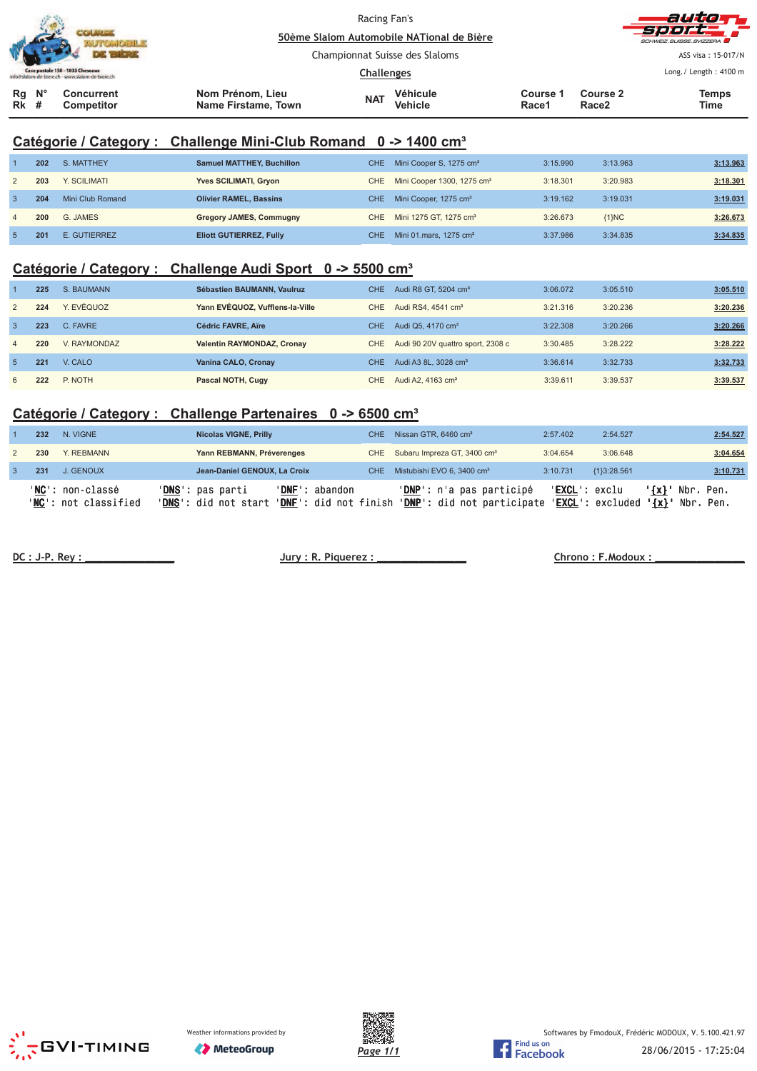|                                                                                      |             | COURSE                                 |                                         | Racing Fan's<br>50ème Slalom Automobile NATional de Bière |                            |                          |                               | autom<br>-SPOPE<br>SCHWEIZ SUISSE SVIZZERA |
|--------------------------------------------------------------------------------------|-------------|----------------------------------------|-----------------------------------------|-----------------------------------------------------------|----------------------------|--------------------------|-------------------------------|--------------------------------------------|
|                                                                                      |             |                                        |                                         | Championnat Suisse des Slaloms                            |                            |                          |                               | ASS visa : 15-017/N                        |
| Case postale 150 - 1033 Cheseaux<br>info@slatom-de-biere.ch - www.slatom-de-biere.ch |             |                                        | <b>Challenges</b>                       |                                                           |                            |                          |                               | Long. / Length: $4100 \text{ m}$           |
| Rq<br><b>Rk</b> #                                                                    | $N^{\circ}$ | <b>Concurrent</b><br><b>Competitor</b> | Nom Prénom, Lieu<br>Name Firstame, Town | <b>NAT</b>                                                | Véhicule<br><b>Vehicle</b> | <b>Course 1</b><br>Race1 | Course 2<br>Race <sub>2</sub> | <b>Temps</b><br>Time                       |

# **Catégorie / Category : Challenge Mini-Club Romand 0 -> 1400 cm³**

|                | 202 | S. MATTHEY       | <b>Samuel MATTHEY, Buchillon</b> |      | CHE Mini Cooper S, 1275 cm <sup>3</sup> | 3:15.990 | 3:13.963 | 3:13.963 |
|----------------|-----|------------------|----------------------------------|------|-----------------------------------------|----------|----------|----------|
|                | 203 | Y. SCILIMATI     | Yves SCILIMATI, Gryon            | CHE  | Mini Cooper 1300, 1275 cm <sup>3</sup>  | 3:18.301 | 3:20.983 | 3:18.301 |
| $\mathbf{3}$   | 204 | Mini Club Romand | <b>Olivier RAMEL, Bassins</b>    | CHE  | Mini Cooper, 1275 cm <sup>3</sup>       | 3:19.162 | 3:19.031 | 3:19.031 |
| $\overline{4}$ | 200 | G. JAMES         | <b>Gregory JAMES, Commugny</b>   |      | CHE Mini 1275 GT, 1275 cm <sup>3</sup>  | 3:26.673 | ${1}NC$  | 3:26.673 |
| -5             | 201 | E. GUTIERREZ     | Eliott GUTIERREZ, Fully          | CHE. | Mini 01 mars, 1275 cm <sup>3</sup>      | 3:37.986 | 3:34.835 | 3:34.835 |

# **Catégorie / Category : Challenge Audi Sport 0 -> 5500 cm³**

|                | 225 | S. BAUMANN   | Sébastien BAUMANN, Vaulruz        | CHE.             | Audi R8 GT, 5204 cm <sup>3</sup>  | 3:06.072 | 3:05.510 | 3:05.510 |
|----------------|-----|--------------|-----------------------------------|------------------|-----------------------------------|----------|----------|----------|
| 2              | 224 | Y. EVÉQUOZ   | Yann EVEQUOZ, Vufflens-la-Ville   | CHE.             | Audi RS4, 4541 cm <sup>3</sup>    | 3:21.316 | 3:20.236 | 3:20.236 |
|                | 223 | C. FAVRE     | Cédric FAVRE, Aïre                | CHE <sup>®</sup> | Audi Q5, 4170 cm <sup>3</sup>     | 3:22.308 | 3:20.266 | 3:20.266 |
| $\overline{4}$ | 220 | V. RAYMONDAZ | <b>Valentin RAYMONDAZ, Cronay</b> | CHE              | Audi 90 20V quattro sport, 2308 c | 3:30.485 | 3:28.222 | 3:28.222 |
| -5             | 221 | V. CALO      | Vanina CALO, Cronay               | CHE              | Audi A3 8L, 3028 cm <sup>3</sup>  | 3:36.614 | 3:32.733 | 3:32.733 |
| 6              | 222 | P. NOTH      | Pascal NOTH, Cugy                 | CHE.             | Audi A2, 4163 cm <sup>3</sup>     | 3:39.611 | 3:39.537 | 3:39.537 |

# **Catégorie / Category : Challenge Partenaires 0 -> 6500 cm³**

| 232 | N. VIGNE                                 | Nicolas VIGNE, Prilly                             |                                                  | CHE Nissan GTR, 6460 cm <sup>3</sup>                                          | 2:57.402 | 2:54.527               |           | 2:54.527               |
|-----|------------------------------------------|---------------------------------------------------|--------------------------------------------------|-------------------------------------------------------------------------------|----------|------------------------|-----------|------------------------|
| 230 | Y. REBMANN                               | Yann REBMANN, Préverenges                         |                                                  | CHE Subaru Impreza GT, 3400 cm <sup>3</sup>                                   | 3:04.654 | 3:06.648               |           | 3:04.654               |
| 231 | J. GENOUX                                | Jean-Daniel GENOUX, La Croix                      |                                                  | CHE Mistubishi EVO 6, 3400 cm <sup>3</sup>                                    | 3:10.731 | ${13:28.561}$          |           | 3:10.731               |
|     | 'NC': non-classé<br>'NC': not classified | ' <b>DNS</b> ': pas parti<br>'DNS': did not start | 'DNF': abandon<br>' <b>DNF</b> ': did not finish | 'DNP': n'a pas participé<br>'DNP': did not participate 'EXCL': excluded '{x}' |          | ' <b>EXCL</b> ': exclu | $\{x\}$ . | Nbr. Pen.<br>Nbr. Pen. |

 **!""""""""""""""" ! #\$"""""""""""""""** 

 **%& '"""""""""""""""**





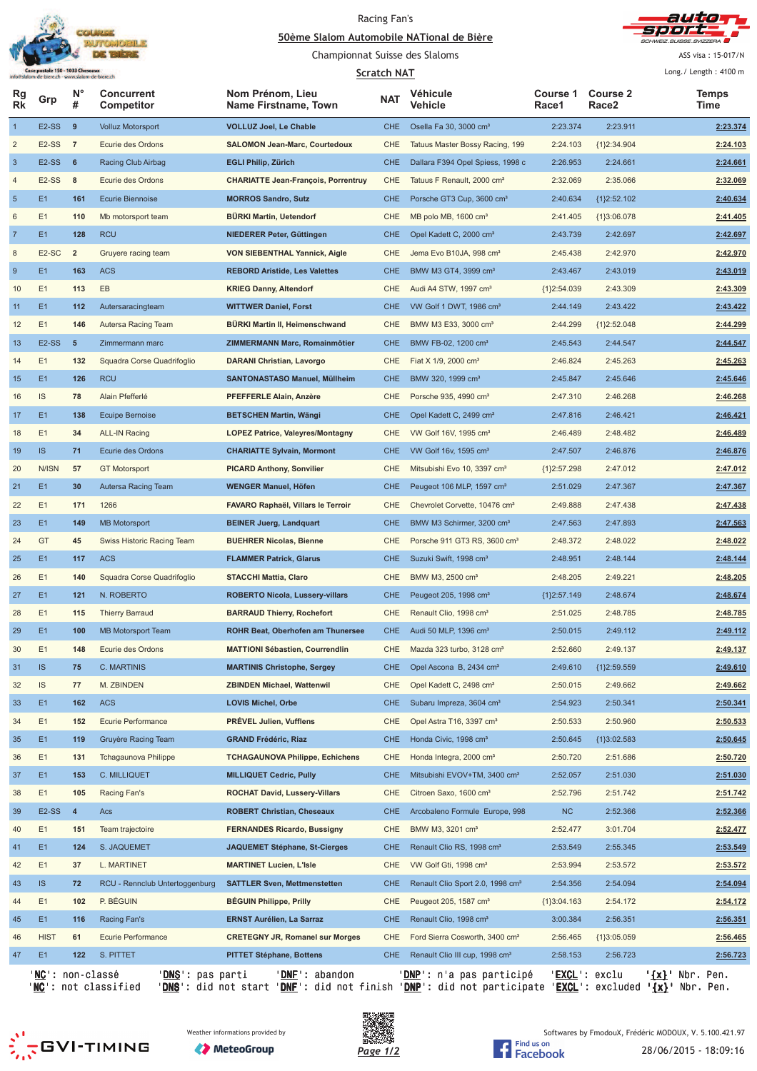

#### Racing Fan's <u>**S0ème Slalom Automobile NATional de Bière**</u>



Championnat Suisse des Slaloms

ASS visa : 15-017/N

|                | Case postale 150 - 1033 Cheseaux<br>info@slalom-de-biere.ch - www.slalom-de-biere.ch |                         |                                 |                                            | <b>Scratch NAT</b> |                                              |                          |                                      | Long./ Length: 4100 m |
|----------------|--------------------------------------------------------------------------------------|-------------------------|---------------------------------|--------------------------------------------|--------------------|----------------------------------------------|--------------------------|--------------------------------------|-----------------------|
| Rg<br>Rk       | Grp                                                                                  | $N^{\circ}$<br>#        | <b>Concurrent</b><br>Competitor | Nom Prénom, Lieu<br>Name Firstname, Town   | <b>NAT</b>         | Véhicule<br>Vehicle                          | <b>Course 1</b><br>Race1 | <b>Course 2</b><br>Race <sub>2</sub> | <b>Temps</b><br>Time  |
| $\overline{1}$ | E <sub>2</sub> -SS                                                                   | 9                       | <b>Volluz Motorsport</b>        | <b>VOLLUZ Joel, Le Chable</b>              | <b>CHE</b>         | Osella Fa 30, 3000 cm <sup>3</sup>           | 2:23.374                 | 2:23.911                             | 2:23.374              |
| $\overline{2}$ | E <sub>2</sub> -SS                                                                   | $\overline{7}$          | Ecurie des Ordons               | <b>SALOMON Jean-Marc, Courtedoux</b>       | CHE                | Tatuus Master Bossy Racing, 199              | 2:24.103                 | ${1}2:34.904$                        | 2:24.103              |
| $\mathbf{3}$   | E <sub>2</sub> -SS                                                                   | 6                       | Racing Club Airbag              | <b>EGLI Philip, Zürich</b>                 | <b>CHE</b>         | Dallara F394 Opel Spiess, 1998 c             | 2:26.953                 | 2:24.661                             | 2:24.661              |
| $\overline{4}$ | E <sub>2</sub> -SS                                                                   | 8                       | Ecurie des Ordons               | <b>CHARIATTE Jean-François, Porrentruy</b> | CHE                | Tatuus F Renault, 2000 cm <sup>3</sup>       | 2:32.069                 | 2:35.066                             | 2:32.069              |
| $\sqrt{5}$     | E1                                                                                   | 161                     | <b>Ecurie Biennoise</b>         | <b>MORROS Sandro, Sutz</b>                 | <b>CHE</b>         | Porsche GT3 Cup, 3600 cm <sup>3</sup>        | 2:40.634                 | ${1}2:52.102$                        | 2:40.634              |
| 6              | E1                                                                                   | 110                     | Mb motorsport team              | BÜRKI Martin, Uetendorf                    | CHE                | MB polo MB, 1600 cm <sup>3</sup>             | 2:41.405                 | ${1}3:06.078$                        | 2:41.405              |
| $\overline{7}$ | E1                                                                                   | 128                     | <b>RCU</b>                      | NIEDERER Peter, Güttingen                  | <b>CHE</b>         | Opel Kadett C, 2000 cm <sup>3</sup>          | 2:43.739                 | 2:42.697                             | 2:42.697              |
| 8              | E <sub>2</sub> -SC                                                                   | $\overline{2}$          | Gruyere racing team             | <b>VON SIEBENTHAL Yannick, Aigle</b>       | CHE                | Jema Evo B10JA, 998 cm <sup>3</sup>          | 2:45.438                 | 2:42.970                             | 2:42.970              |
| $\overline{9}$ | E1                                                                                   | 163                     | <b>ACS</b>                      | <b>REBORD Aristide, Les Valettes</b>       | <b>CHE</b>         | BMW M3 GT4, 3999 cm <sup>3</sup>             | 2:43.467                 | 2:43.019                             | 2:43.019              |
| 10             | E1                                                                                   | 113                     | EB                              | <b>KRIEG Danny, Altendorf</b>              | CHE                | Audi A4 STW, 1997 cm <sup>3</sup>            | ${1}2:54.039$            | 2:43.309                             | 2:43.309              |
| 11             | E1                                                                                   | 112                     | Autersaracingteam               | <b>WITTWER Daniel, Forst</b>               | <b>CHE</b>         | VW Golf 1 DWT, 1986 cm <sup>3</sup>          | 2:44.149                 | 2:43.422                             | 2:43.422              |
| $12$           | E1                                                                                   | 146                     | Autersa Racing Team             | BURKI Martin II, Heimenschwand             | CHE                | BMW M3 E33, 3000 cm <sup>3</sup>             | 2:44.299                 | ${1}2:52.048$                        | 2:44.299              |
| 13             | E2-SS                                                                                | $5\phantom{1}$          | Zimmermann marc                 | ZIMMERMANN Marc, Romainmôtier              | CHE                | BMW FB-02, 1200 cm <sup>3</sup>              | 2:45.543                 | 2:44.547                             | 2:44.547              |
| 14             | E1                                                                                   | 132                     | Squadra Corse Quadrifoglio      | <b>DARANI Christian, Lavorgo</b>           | CHE                | Fiat X 1/9, 2000 cm <sup>3</sup>             | 2:46.824                 | 2:45.263                             | 2:45.263              |
| 15             | E1                                                                                   | 126                     | <b>RCU</b>                      | <b>SANTONASTASO Manuel, Müllheim</b>       | <b>CHE</b>         | BMW 320, 1999 cm <sup>3</sup>                | 2:45.847                 | 2:45.646                             | 2:45.646              |
| 16             | IS                                                                                   | 78                      | Alain Pfefferlé                 | PFEFFERLE Alain, Anzère                    | <b>CHE</b>         | Porsche 935, 4990 cm <sup>3</sup>            | 2:47.310                 | 2:46.268                             | 2:46.268              |
| 17             | E1                                                                                   | 138                     | <b>Ecuipe Bernoise</b>          | <b>BETSCHEN Martin, Wängi</b>              | CHE                | Opel Kadett C, 2499 cm <sup>3</sup>          | 2:47.816                 | 2:46.421                             | 2:46.421              |
| 18             | E1                                                                                   | 34                      | <b>ALL-IN Racing</b>            | <b>LOPEZ Patrice, Valeyres/Montagny</b>    | CHE                | VW Golf 16V, 1995 cm <sup>3</sup>            | 2:46.489                 | 2:48.482                             | 2:46.489              |
| 19             | <b>IS</b>                                                                            | 71                      | Ecurie des Ordons               | <b>CHARIATTE Sylvain, Mormont</b>          | <b>CHE</b>         | VW Golf 16v, 1595 cm <sup>3</sup>            | 2:47.507                 | 2:46.876                             | 2:46.876              |
| 20             | N/ISN                                                                                | 57                      | GT Motorsport                   | <b>PICARD Anthony, Sonvilier</b>           | <b>CHE</b>         | Mitsubishi Evo 10, 3397 cm <sup>3</sup>      | ${1}2:57.298$            | 2:47.012                             | 2:47.012              |
| 21             | E1                                                                                   | 30                      | Autersa Racing Team             | <b>WENGER Manuel, Höfen</b>                | <b>CHE</b>         | Peugeot 106 MLP, 1597 cm <sup>3</sup>        | 2:51.029                 | 2:47.367                             | 2:47.367              |
| 22             | E1                                                                                   | 171                     | 1266                            | FAVARO Raphaël, Villars le Terroir         | CHE                | Chevrolet Corvette, 10476 cm <sup>3</sup>    | 2:49.888                 | 2:47.438                             | 2:47.438              |
| 23             | E1                                                                                   | 149                     | <b>MB Motorsport</b>            | <b>BEINER Juerg, Landquart</b>             | <b>CHE</b>         | BMW M3 Schirmer, 3200 cm <sup>3</sup>        | 2:47.563                 | 2:47.893                             | 2:47.563              |
| 24             | GT                                                                                   | 45                      | Swiss Historic Racing Team      | <b>BUEHRER Nicolas, Bienne</b>             | CHE                | Porsche 911 GT3 RS, 3600 cm <sup>3</sup>     | 2:48.372                 | 2:48.022                             | 2:48.022              |
| 25             | E1                                                                                   | 117                     | <b>ACS</b>                      | <b>FLAMMER Patrick, Glarus</b>             | CHE.               | Suzuki Swift, 1998 cm <sup>3</sup>           | 2:48.951                 | 2:48.144                             | 2:48.144              |
| 26             | E1                                                                                   | 140                     | Squadra Corse Quadrifoglio      | <b>STACCHI Mattia, Claro</b>               | CHE                | BMW M3, 2500 cm <sup>3</sup>                 | 2:48.205                 | 2:49.221                             | 2:48.205              |
| 27             | E1                                                                                   | 121                     | N. ROBERTO                      | ROBERTO Nicola, Lussery-villars            | <b>CHE</b>         | Peugeot 205, 1998 cm <sup>3</sup>            | ${1}2:57.149$            | 2:48.674                             | 2:48.674              |
| 28             | E1                                                                                   | 115                     | <b>Thierry Barraud</b>          | <b>BARRAUD Thierry, Rochefort</b>          | <b>CHE</b>         | Renault Clio, 1998 cm <sup>3</sup>           | 2:51.025                 | 2:48.785                             | 2:48.785              |
| 29             | E1                                                                                   | 100                     | <b>MB Motorsport Team</b>       | <b>ROHR Beat, Oberhofen am Thunersee</b>   | CHE.               | Audi 50 MLP, 1396 cm <sup>3</sup>            | 2:50.015                 | 2:49.112                             | 2:49.112              |
| 30             | E1                                                                                   | 148                     | Ecurie des Ordons               | <b>MATTIONI Sébastien, Courrendlin</b>     | CHE                | Mazda 323 turbo, 3128 cm <sup>3</sup>        | 2:52.660                 | 2:49.137                             | 2:49.137              |
| 31             | IS                                                                                   | 75                      | <b>C. MARTINIS</b>              | <b>MARTINIS Christophe, Sergey</b>         | <b>CHE</b>         | Opel Ascona B, 2434 cm <sup>3</sup>          | 2:49.610                 | ${1}2:59.559$                        | 2:49.610              |
| 32             | IS                                                                                   | 77                      | M. ZBINDEN                      | <b>ZBINDEN Michael, Wattenwil</b>          | CHE                | Opel Kadett C, 2498 cm <sup>3</sup>          | 2:50.015                 | 2:49.662                             | 2:49.662              |
| 33             | E <sub>1</sub>                                                                       | 162                     | <b>ACS</b>                      | <b>LOVIS Michel, Orbe</b>                  | <b>CHE</b>         | Subaru Impreza, 3604 cm <sup>3</sup>         | 2:54.923                 | 2:50.341                             | 2:50.341              |
| 34             | E1                                                                                   | 152                     | Ecurie Performance              | PRÉVEL Julien, Vufflens                    | CHE                | Opel Astra T16, 3397 cm <sup>3</sup>         | 2:50.533                 | 2:50.960                             | 2:50.533              |
| 35             | E1                                                                                   | 119                     | Gruyère Racing Team             | <b>GRAND Frédéric, Riaz</b>                | <b>CHE</b>         | Honda Civic, 1998 cm <sup>3</sup>            | 2:50.645                 | ${1}3:02.583$                        | 2:50.645              |
| 36             | E1                                                                                   | 131                     | <b>Tchagaunova Philippe</b>     | <b>TCHAGAUNOVA Philippe, Echichens</b>     | CHE                | Honda Integra, 2000 cm <sup>3</sup>          | 2:50.720                 | 2:51.686                             | 2:50.720              |
| 37             | E1                                                                                   | 153                     | C. MILLIQUET                    | <b>MILLIQUET Cedric, Pully</b>             | <b>CHE</b>         | Mitsubishi EVOV+TM, 3400 cm <sup>3</sup>     | 2:52.057                 | 2:51.030                             | 2:51.030              |
| 38             | E1                                                                                   | 105                     | Racing Fan's                    | ROCHAT David, Lussery-Villars              | CHE                | Citroen Saxo, 1600 cm <sup>3</sup>           | 2:52.796                 | 2:51.742                             | 2:51.742              |
| 39             | E2-SS                                                                                | $\overline{\mathbf{4}}$ | Acs                             | ROBERT Christian, Cheseaux                 | CHE                | Arcobaleno Formule Europe, 998               | NC                       | 2:52.366                             | 2:52.366              |
| 40             | E1                                                                                   | 151                     | Team trajectoire                | <b>FERNANDES Ricardo, Bussigny</b>         | CHE                | BMW M3, 3201 cm <sup>3</sup>                 | 2:52.477                 | 3:01.704                             | 2:52.477              |
| 41             | E1                                                                                   | 124                     | S. JAQUEMET                     | JAQUEMET Stéphane, St-Cierges              | CHE                | Renault Clio RS, 1998 cm <sup>3</sup>        | 2:53.549                 | 2:55.345                             | 2:53.549              |
| 42             | E1                                                                                   | 37                      | L. MARTINET                     | <b>MARTINET Lucien, L'Isle</b>             | CHE                | VW Golf Gti, 1998 cm <sup>3</sup>            | 2:53.994                 | 2:53.572                             | 2:53.572              |
| 43             | <b>IS</b>                                                                            | 72                      | RCU - Rennclub Untertoggenburg  | <b>SATTLER Sven, Mettmenstetten</b>        | <b>CHE</b>         | Renault Clio Sport 2.0, 1998 cm <sup>3</sup> | 2:54.356                 | 2:54.094                             | 2:54.094              |
| 44             | E1                                                                                   | 102                     | P. BÉGUIN                       | <b>BEGUIN Philippe, Prilly</b>             | CHE                | Peugeot 205, 1587 cm <sup>3</sup>            | ${1}3:04.163$            | 2:54.172                             | 2:54.172              |
| 45             | E <sub>1</sub>                                                                       | 116                     | Racing Fan's                    | <b>ERNST Aurélien, La Sarraz</b>           | <b>CHE</b>         | Renault Clio, 1998 cm <sup>3</sup>           | 3:00.384                 | 2:56.351                             | 2:56.351              |
| 46             | <b>HIST</b>                                                                          | 61                      | Ecurie Performance              | <b>CRETEGNY JR, Romanel sur Morges</b>     | CHE                | Ford Sierra Cosworth, 3400 cm <sup>3</sup>   | 2:56.465                 | ${1}3:05.059$                        | 2:56.465              |
| 47             | E1                                                                                   | 122                     | S. PITTET                       | <b>PITTET Stéphane, Bottens</b>            | CHE                | Renault Clio III cup, 1998 cm <sup>3</sup>   | 2:58.153                 | 2:56.723                             | 2:56.723              |
|                | ' <mark>NC</mark> ': non-classé                                                      |                         | ' <u>DNS</u> ': pas parti       | 'DNF': abandon                             |                    | ' <u>DNP</u> ': n'a pas participé            |                          | ' <b>EXCL</b> ': exclu               | $'\{\chi\}$ Nbr. Pen. |

'<u>NC</u>': not classified '<u>DNS</u>': did not start '<u>DNF</u>': did not finish '<u>DNP</u>': did not participate '<u>EXCL</u>': excluded **'<u>{x}</u>'** Nbr. Pen.





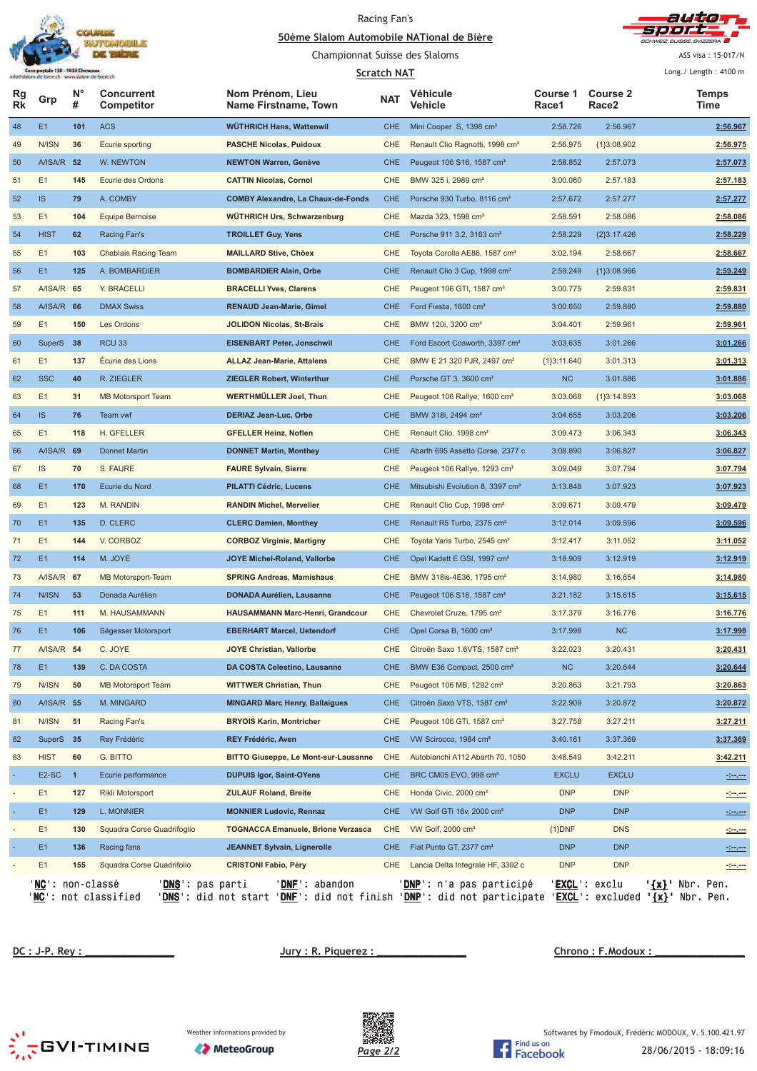

#### Racing Fan's <u>**S0ème Slalom Automobile NATional de Bière**</u>



Championnat Suisse des Slaloms

 $\frac{1}{1}$  ength : 4100

ASS visa : 15-017/N

|                 | Case postale 150 - 1033 Cheseaux<br>info@slalom-de-biere.ch - www.slalom-de-biere.ch |                  |                                                  |                                                                                                                                                                       | <b>Scratch NAT</b> |                                              |                   |                          | Long. / Length: $4100 \text{ m}$ |
|-----------------|--------------------------------------------------------------------------------------|------------------|--------------------------------------------------|-----------------------------------------------------------------------------------------------------------------------------------------------------------------------|--------------------|----------------------------------------------|-------------------|--------------------------|----------------------------------|
| Rg<br><b>Rk</b> | Grp                                                                                  | $N^{\circ}$<br># | <b>Concurrent</b><br>Competitor                  | Nom Prénom, Lieu<br>Name Firstname, Town                                                                                                                              | <b>NAT</b>         | Véhicule<br>Vehicle                          | Course 1<br>Race1 | <b>Course 2</b><br>Race2 | <b>Temps</b><br>Time             |
| 48              | E1                                                                                   | 101              | <b>ACS</b>                                       | WÜTHRICH Hans, Wattenwil                                                                                                                                              | <b>CHE</b>         | Mini Cooper S, 1398 cm <sup>3</sup>          | 2:58.726          | 2:56.967                 | 2:56.967                         |
| 49              | N/ISN                                                                                | 36               | Ecurie sporting                                  | <b>PASCHE Nicolas, Puidoux</b>                                                                                                                                        | CHE                | Renault Clio Ragnotti, 1998 cm <sup>3</sup>  | 2:56.975          | ${1}3:08.902$            | 2:56.975                         |
| 50              | A/ISA/R 52                                                                           |                  | W. NEWTON                                        | <b>NEWTON Warren, Genève</b>                                                                                                                                          | <b>CHE</b>         | Peugeot 106 S16, 1587 cm <sup>3</sup>        | 2:58.852          | 2:57.073                 | 2:57.073                         |
| 51              | E1                                                                                   | 145              | Ecurie des Ordons                                | <b>CATTIN Nicolas, Cornol</b>                                                                                                                                         | CHE                | BMW 325 i, 2989 cm <sup>3</sup>              | 3:00.060          | 2:57.183                 | 2:57.183                         |
| 52              | <b>IS</b>                                                                            | 79               | A. COMBY                                         | <b>COMBY Alexandre, La Chaux-de-Fonds</b>                                                                                                                             | <b>CHE</b>         | Porsche 930 Turbo, 8116 cm <sup>3</sup>      | 2:57.672          | 2:57.277                 | 2:57.277                         |
| 53              | E1                                                                                   | 104              | Equipe Bernoise                                  | <b>WÜTHRICH Urs, Schwarzenburg</b>                                                                                                                                    | CHE                | Mazda 323, 1598 cm <sup>3</sup>              | 2:58.591          | 2:58.086                 | 2:58.086                         |
| 54              | <b>HIST</b>                                                                          | 62               | Racing Fan's                                     | <b>TROILLET Guy, Yens</b>                                                                                                                                             | <b>CHE</b>         | Porsche 911 3.2, 3163 cm <sup>3</sup>        | 2:58.229          | ${2}3:17.426$            | 2:58.229                         |
| 55              | E1                                                                                   | 103              | <b>Chablais Racing Team</b>                      | <b>MAILLARD Stive, Chöex</b>                                                                                                                                          | CHE                | Toyota Corolla AE86, 1587 cm <sup>3</sup>    | 3:02.194          | 2:58.667                 | 2:58.667                         |
| 56              | E <sub>1</sub>                                                                       | 125              | A. BOMBARDIER                                    | <b>BOMBARDIER Alain, Orbe</b>                                                                                                                                         | CHE                | Renault Clio 3 Cup, 1998 cm <sup>3</sup>     | 2:59.249          | ${1}3:08.966$            | 2:59.249                         |
| 57              | A/ISA/R 65                                                                           |                  | Y. BRACELLI                                      | <b>BRACELLI Yves, Clarens</b>                                                                                                                                         | CHE                | Peugeot 106 GTI, 1587 cm <sup>3</sup>        | 3:00.775          | 2:59.831                 | 2:59.831                         |
| 58              | A/ISA/R 66                                                                           |                  | <b>DMAX Swiss</b>                                | <b>RENAUD Jean-Marie, Gimel</b>                                                                                                                                       | <b>CHE</b>         | Ford Fiesta, 1600 cm <sup>3</sup>            | 3:00.650          | 2:59.880                 | 2:59.880                         |
| 59              | E1                                                                                   | 150              | Les Ordons                                       | <b>JOLIDON Nicolas, St-Brais</b>                                                                                                                                      | CHE                | BMW 120i, 3200 cm <sup>3</sup>               | 3:04.401          | 2:59.961                 | 2:59.961                         |
| 60              | <b>SuperS</b>                                                                        | 38               | <b>RCU 33</b>                                    | <b>EISENBART Peter, Jonschwil</b>                                                                                                                                     | <b>CHE</b>         | Ford Escort Cosworth, 3397 cm <sup>3</sup>   | 3:03.635          | 3:01.266                 | 3:01.266                         |
| 61              | E1                                                                                   | 137              | Écurie des Lions                                 | <b>ALLAZ Jean-Marie, Attalens</b>                                                                                                                                     | CHE                | BMW E 21 320 PJR, 2497 cm <sup>3</sup>       | ${1}3:11.640$     | 3:01.313                 | 3:01.313                         |
| 62              | <b>SSC</b>                                                                           | 40               | R. ZIEGLER                                       | ZIEGLER Robert, Winterthur                                                                                                                                            | CHE                | Porsche GT 3, 3600 cm <sup>3</sup>           | <b>NC</b>         | 3:01.886                 | 3:01.886                         |
| 63              | E1                                                                                   | 31               | <b>MB Motorsport Team</b>                        | <b>WERTHMÜLLER Joel, Thun</b>                                                                                                                                         | CHE                | Peugeot 106 Rallye, 1600 cm <sup>3</sup>     | 3:03.068          | ${1}3:14.893$            | 3:03.068                         |
| 64              | <b>IS</b>                                                                            | 76               | Team vwf                                         | <b>DERIAZ Jean-Luc, Orbe</b>                                                                                                                                          | <b>CHE</b>         | BMW 318i, 2494 cm <sup>3</sup>               | 3:04.655          | 3:03.206                 | 3:03.206                         |
| 65              | E1                                                                                   | 118              | H. GFELLER                                       | <b>GFELLER Heinz, Noflen</b>                                                                                                                                          | CHE                | Renault Clio, 1998 cm <sup>3</sup>           | 3:09.473          | 3:06.343                 | 3:06.343                         |
| 66              | A/ISA/R 69                                                                           |                  | Donnet Martin                                    | <b>DONNET Martin, Monthey</b>                                                                                                                                         | <b>CHE</b>         | Abarth 695 Assetto Corse, 2377 c             | 3:08.890          | 3:06.827                 | 3:06.827                         |
| 67              | IS                                                                                   | 70               | S. FAURE                                         | <b>FAURE Sylvain, Sierre</b>                                                                                                                                          | CHE                | Peugeot 106 Rallye, 1293 cm <sup>3</sup>     | 3:09.049          | 3:07.794                 | 3:07.794                         |
| 68              | E <sub>1</sub>                                                                       | 170              | Ecurie du Nord                                   | <b>PILATTI Cédric, Lucens</b>                                                                                                                                         | <b>CHE</b>         | Mitsubishi Evolution 8, 3397 cm <sup>3</sup> | 3:13.848          | 3:07.923                 | 3:07.923                         |
| 69              | E1                                                                                   | 123              | M. RANDIN                                        | <b>RANDIN Michel, Mervelier</b>                                                                                                                                       | CHE                | Renault Clio Cup, 1998 cm <sup>3</sup>       | 3:09.671          | 3:09.479                 | 3:09.479                         |
| 70              | E <sub>1</sub>                                                                       | 135              | D. CLERC                                         | <b>CLERC Damien, Monthey</b>                                                                                                                                          | <b>CHE</b>         | Renault R5 Turbo, 2375 cm <sup>3</sup>       | 3:12.014          | 3:09.596                 | 3:09.596                         |
| 71              | E1                                                                                   | 144              | V. CORBOZ                                        | <b>CORBOZ Virginie, Martigny</b>                                                                                                                                      | CHE                | Toyota Yaris Turbo, 2545 cm <sup>3</sup>     | 3:12.417          | 3:11.052                 | 3:11.052                         |
| 72              | E <sub>1</sub>                                                                       | 114              | M. JOYE                                          | <b>JOYE Michel-Roland, Vallorbe</b>                                                                                                                                   | CHE                | Opel Kadett E GSI, 1997 cm <sup>3</sup>      | 3:18.909          | 3:12.919                 | 3:12.919                         |
| 73              | A/ISA/R 67                                                                           |                  | MB Motorsport-Team                               | <b>SPRING Andreas, Mamishaus</b>                                                                                                                                      | CHE                | BMW 318is-4E36, 1795 cm <sup>3</sup>         | 3:14.980          | 3:16.654                 | 3:14.980                         |
| 74              | N/ISN                                                                                | 53               | Donada Aurélien                                  | <b>DONADA Aurélien, Lausanne</b>                                                                                                                                      | <b>CHE</b>         | Peugeot 106 S16, 1587 cm <sup>3</sup>        | 3:21.182          | 3:15.615                 | 3:15.615                         |
| 75              | E1                                                                                   | 111              | M. HAUSAMMANN                                    | <b>HAUSAMMANN Marc-Henri, Grandcour</b>                                                                                                                               | CHE                | Chevrolet Cruze, 1795 cm <sup>3</sup>        | 3:17.379          | 3:16.776                 | 3:16.776                         |
| 76              | E1                                                                                   | 106              | Sägesser Motorsport                              | <b>EBERHART Marcel, Uetendorf</b>                                                                                                                                     | <b>CHE</b>         | Opel Corsa B, 1600 cm <sup>3</sup>           | 3:17.998          | <b>NC</b>                | 3:17.998                         |
| 77              | A/ISA/R 54                                                                           |                  | C. JOYE                                          | JOYE Christian, Vallorbe                                                                                                                                              | CHE                | Citroën Saxo 1.6VTS, 1587 cm <sup>3</sup>    | 3:22.023          | 3:20.431                 | 3:20.431                         |
| 78              | E <sub>1</sub>                                                                       | 139              | C. DA COSTA                                      | DA COSTA Celestino, Lausanne                                                                                                                                          | CHE                | BMW E36 Compact, 2500 cm <sup>3</sup>        | NC                | 3:20.644                 | 3:20.644                         |
| 79              | N/ISN                                                                                | 50               | <b>MB Motorsport Team</b>                        | <b>WITTWER Christian, Thun</b>                                                                                                                                        | CHE                | Peugeot 106 MB, 1292 cm <sup>3</sup>         | 3:20.863          | 3:21.793                 | 3:20.863                         |
| 80              | <b>A/ISA/R 55</b>                                                                    |                  | M. MINGARD                                       | <b>MINGARD Marc Henry, Ballaigues</b>                                                                                                                                 | CHE                | Citroën Saxo VTS, 1587 cm <sup>3</sup>       | 3:22.909          | 3:20.872                 | 3:20.872                         |
| 81              | N/ISN                                                                                | 51               | Racing Fan's                                     | <b>BRYOIS Karin, Montricher</b>                                                                                                                                       | CHE                | Peugeot 106 GTi, 1587 cm <sup>3</sup>        | 3:27.758          | 3:27.211                 | 3:27.211                         |
| 82              | SuperS 35                                                                            |                  | Rey Frédéric                                     | REY Frédéric, Aven                                                                                                                                                    | <b>CHE</b>         | VW Scirocco, 1984 cm <sup>3</sup>            | 3:40.161          | 3:37.369                 | 3:37.369                         |
| 83              | <b>HIST</b>                                                                          | 60               | G. BITTO                                         | <b>BITTO Giuseppe, Le Mont-sur-Lausanne</b>                                                                                                                           | CHE                | Autobianchi A112 Abarth 70, 1050             | 3:48.549          | 3:42.211                 | 3:42.211                         |
|                 | E2-SC                                                                                | $\blacksquare$   | Ecurie performance                               | <b>DUPUIS Igor, Saint-OYens</b>                                                                                                                                       | CHE                | BRC CM05 EVO, 998 cm <sup>3</sup>            | <b>EXCLU</b>      | <b>EXCLU</b>             |                                  |
|                 | E <sub>1</sub>                                                                       | 127              | Rikli Motorsport                                 | <b>ZULAUF Roland, Breite</b>                                                                                                                                          | CHE                | Honda Civic, 2000 cm <sup>3</sup>            | <b>DNP</b>        | <b>DNP</b>               | ككك<br><u> 1999 - 199</u>        |
|                 | E <sub>1</sub>                                                                       | 129              | L. MONNIER                                       | <b>MONNIER Ludovic, Rennaz</b>                                                                                                                                        | <b>CHE</b>         | VW Golf GTi 16v, 2000 cm <sup>3</sup>        | <b>DNP</b>        | <b>DNP</b>               |                                  |
|                 | E1                                                                                   | 130              | Squadra Corse Quadrifoglio                       | <b>TOGNACCA Emanuele, Brione Verzasca</b>                                                                                                                             | CHE                | VW Golf, 2000 cm <sup>3</sup>                | ${1}DNF$          | <b>DNS</b>               | <u>in =</u><br>$\frac{1}{2}$     |
|                 | E <sub>1</sub>                                                                       | 136              | Racing fans                                      | <b>JEANNET Sylvain, Lignerolle</b>                                                                                                                                    | <b>CHE</b>         | Fiat Punto GT, 2377 cm <sup>3</sup>          | <b>DNP</b>        | <b>DNP</b>               |                                  |
|                 | E1                                                                                   | 155              | Squadra Corse Quadrifolio                        | <b>CRISTONI Fabio, Péry</b>                                                                                                                                           | CHE                | Lancia Delta Integrale HF, 3392 c            | <b>DNP</b>        | <b>DNP</b>               | <u>desem</u>                     |
|                 |                                                                                      |                  |                                                  |                                                                                                                                                                       |                    |                                              |                   |                          | $-1 - 1 - 1 = 0$                 |
|                 | NC: non-classé                                                                       |                  | ' <b>DNS</b> ': pas parti<br>NC': not classified | 'DNF': abandon<br>' <u>DNS</u> ': did not start ' <u>DNF</u> ': did not finish ' <u>DNP</u> ': did not participate ' <u>EXCL</u> ': excluded ' <u>{x}</u> ' Nbr. Pen. |                    | <b>'DNP':</b> n'a pas participé              |                   | ' <u>EXCL</u> ': exclu   | '{x}' Nbr. Pen.                  |

 **!!!!!!!!!!!!!!!  "#!!!!!!!!!!!!!!!** 

<u>No: F.Modoux : \_\_\_\_\_\_\_\_\_\_\_\_\_\_\_\_\_\_\_\_</u>



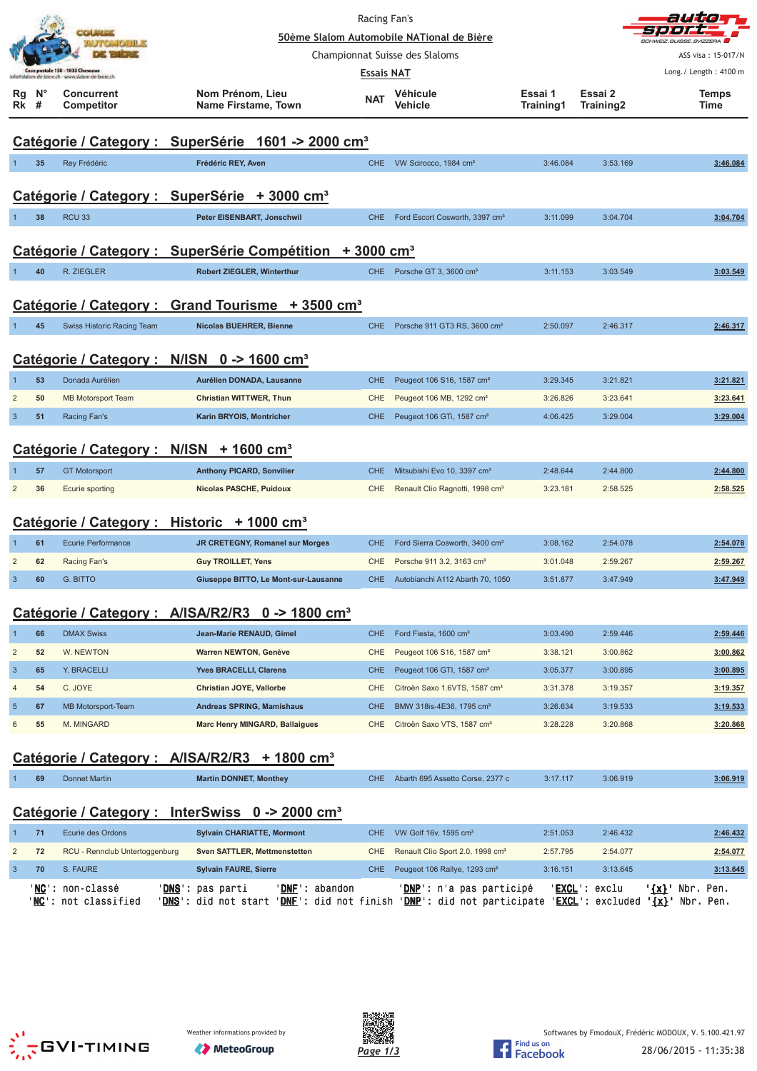|                                                                |          | COURSE                                                     |                                                                                                                                                                                                          | Racing Fan's             |                                                                                    |                      | auto                 |                          |  |  |
|----------------------------------------------------------------|----------|------------------------------------------------------------|----------------------------------------------------------------------------------------------------------------------------------------------------------------------------------------------------------|--------------------------|------------------------------------------------------------------------------------|----------------------|----------------------|--------------------------|--|--|
|                                                                |          |                                                            |                                                                                                                                                                                                          |                          | 50ème Slalom Automobile NATional de Bière                                          |                      |                      | SCHWEIZ SLIISSE SVIZZERA |  |  |
|                                                                |          | Case postale 150 - 1033 Cheseaux                           |                                                                                                                                                                                                          |                          | Championnat Suisse des Slaloms                                                     |                      |                      | ASS visa: 15-017/N       |  |  |
|                                                                |          | info@slalom-de-biere.ch - www.slalom-de-biere.ch           |                                                                                                                                                                                                          | Essais NAT               |                                                                                    |                      |                      | Long./ Length: 4100 m    |  |  |
| Rg<br>Rk                                                       | N°<br>#  | <b>Concurrent</b><br>Competitor                            | Nom Prénom, Lieu<br>Name Firstame, Town                                                                                                                                                                  | <b>NAT</b>               | Véhicule<br>Vehicle                                                                | Essai 1<br>Training1 | Essai 2<br>Training2 | <b>Temps</b><br>Time     |  |  |
| Catégorie / Category : SuperSérie 1601 -> 2000 cm <sup>3</sup> |          |                                                            |                                                                                                                                                                                                          |                          |                                                                                    |                      |                      |                          |  |  |
|                                                                | 35       | Rey Frédéric                                               | Frédéric REY, Aven                                                                                                                                                                                       | <b>CHE</b>               | VW Scirocco, 1984 cm <sup>3</sup>                                                  | 3:46.084             | 3:53.169             | 3:46.084                 |  |  |
|                                                                |          |                                                            | Catégorie / Category : SuperSérie + 3000 cm <sup>3</sup>                                                                                                                                                 |                          |                                                                                    |                      |                      |                          |  |  |
|                                                                | 38       | <b>RCU 33</b>                                              | Peter EISENBART, Jonschwil                                                                                                                                                                               | CHE.                     | Ford Escort Cosworth, 3397 cm <sup>3</sup>                                         | 3:11.099             | 3:04.704             | 3:04.704                 |  |  |
|                                                                |          |                                                            |                                                                                                                                                                                                          |                          |                                                                                    |                      |                      |                          |  |  |
|                                                                |          |                                                            | Catégorie / Category : SuperSérie Compétition                                                                                                                                                            | $+3000$ cm <sup>3</sup>  |                                                                                    |                      |                      |                          |  |  |
|                                                                | 40       | R. ZIEGLER                                                 | <b>Robert ZIEGLER, Winterthur</b>                                                                                                                                                                        |                          | CHE Porsche GT 3, 3600 cm <sup>3</sup>                                             | 3:11.153             | 3:03.549             | 3:03.549                 |  |  |
|                                                                |          |                                                            | Catégorie / Category : Grand Tourisme + 3500 cm <sup>3</sup>                                                                                                                                             |                          |                                                                                    |                      |                      |                          |  |  |
|                                                                | 45       | Swiss Historic Racing Team                                 | <b>Nicolas BUEHRER, Bienne</b>                                                                                                                                                                           | <b>CHE</b>               | Porsche 911 GT3 RS, 3600 cm <sup>3</sup>                                           | 2:50.097             | 2:46.317             | 2:46.317                 |  |  |
|                                                                |          |                                                            |                                                                                                                                                                                                          |                          |                                                                                    |                      |                      |                          |  |  |
|                                                                |          |                                                            | Catégorie / Category : N/ISN 0 -> 1600 cm <sup>3</sup>                                                                                                                                                   |                          |                                                                                    |                      |                      |                          |  |  |
|                                                                | 53       | Donada Aurélien                                            | Aurélien DONADA, Lausanne                                                                                                                                                                                | <b>CHE</b>               | Peugeot 106 S16, 1587 cm <sup>3</sup>                                              | 3:29.345             | 3:21.821             | 3:21.821                 |  |  |
|                                                                | 50       | <b>MB Motorsport Team</b>                                  | <b>Christian WITTWER, Thun</b>                                                                                                                                                                           | <b>CHE</b>               | Peugeot 106 MB, 1292 cm <sup>3</sup>                                               | 3:26.826             | 3:23.641             | 3:23.641                 |  |  |
| $\mathbf{3}$                                                   | 51       | Racing Fan's                                               | Karin BRYOIS, Montricher                                                                                                                                                                                 | <b>CHE</b>               | Peugeot 106 GTi, 1587 cm <sup>3</sup>                                              | 4:06.425             | 3:29.004             | 3:29.004                 |  |  |
|                                                                |          | Catégorie / Category :                                     | $N/ISM$ + 1600 cm <sup>3</sup>                                                                                                                                                                           |                          |                                                                                    |                      |                      |                          |  |  |
|                                                                |          |                                                            |                                                                                                                                                                                                          |                          |                                                                                    |                      |                      |                          |  |  |
| $\overline{2}$                                                 | 57<br>36 | <b>GT Motorsport</b>                                       | <b>Anthony PICARD, Sonvilier</b><br>Nicolas PASCHE, Puidoux                                                                                                                                              | <b>CHE</b><br><b>CHE</b> | Mitsubishi Evo 10, 3397 cm <sup>3</sup>                                            | 2:48.644<br>3:23.181 | 2:44.800<br>2:58.525 | 2:44.800                 |  |  |
|                                                                |          | Ecurie sporting                                            |                                                                                                                                                                                                          |                          | Renault Clio Ragnotti, 1998 cm <sup>3</sup>                                        |                      |                      | 2:58.525                 |  |  |
|                                                                |          |                                                            | Catégorie / Category : Historic + 1000 cm <sup>3</sup>                                                                                                                                                   |                          |                                                                                    |                      |                      |                          |  |  |
|                                                                | 61       | <b>Ecurie Performance</b>                                  | JR CRETEGNY, Romanel sur Morges                                                                                                                                                                          | <b>CHE</b>               | Ford Sierra Cosworth, 3400 cm <sup>3</sup>                                         | 3:08.162             | 2:54.078             | 2:54.078                 |  |  |
| 2                                                              | 62       | Racing Fan's                                               | <b>Guy TROILLET, Yens</b>                                                                                                                                                                                | <b>CHE</b>               | Porsche 911 3.2, 3163 cm <sup>3</sup>                                              | 3:01.048             | 2:59.267             | 2:59.267                 |  |  |
| 3                                                              | 60       | G. BITTO                                                   | Giuseppe BITTO, Le Mont-sur-Lausanne                                                                                                                                                                     |                          | CHE Autobianchi A112 Abarth 70, 1050                                               | 3:51.877             | 3:47.949             | 3:47.949                 |  |  |
|                                                                |          |                                                            |                                                                                                                                                                                                          |                          |                                                                                    |                      |                      |                          |  |  |
|                                                                |          |                                                            | Catégorie / Category : A/ISA/R2/R3 0 -> 1800 cm <sup>3</sup>                                                                                                                                             |                          |                                                                                    |                      |                      |                          |  |  |
|                                                                | 66       | <b>DMAX Swiss</b>                                          | Jean-Marie RENAUD, Gimel                                                                                                                                                                                 | <b>CHE</b>               | Ford Fiesta, 1600 cm <sup>3</sup>                                                  | 3:03.490             | 2:59.446             | 2:59.446                 |  |  |
| $\overline{\mathbf{c}}$                                        | 52       | W. NEWTON                                                  | Warren NEWTON, Genève                                                                                                                                                                                    | CHE                      | Peugeot 106 S16, 1587 cm <sup>3</sup>                                              | 3:38.121             | 3:00.862             | 3:00.862                 |  |  |
| $\mathbf{3}$                                                   | 65       | Y. BRACELLI                                                | <b>Yves BRACELLI, Clarens</b>                                                                                                                                                                            | <b>CHE</b>               | Peugeot 106 GTI, 1587 cm <sup>3</sup><br>Citroën Saxo 1.6VTS, 1587 cm <sup>3</sup> | 3:05.377             | 3:00.895<br>3:19.357 | 3:00.895                 |  |  |
| 4<br>$\overline{5}$                                            | 54<br>67 | C. JOYE<br>MB Motorsport-Team                              | Christian JOYE, Vallorbe<br><b>Andreas SPRING, Mamishaus</b>                                                                                                                                             | <b>CHE</b><br><b>CHE</b> | BMW 318is-4E36, 1795 cm <sup>3</sup>                                               | 3:31.378<br>3:26.634 | 3:19.533             | 3:19.357<br>3:19.533     |  |  |
| 6                                                              | 55       | M. MINGARD                                                 | <b>Marc Henry MINGARD, Ballaigues</b>                                                                                                                                                                    | <b>CHE</b>               | Citroën Saxo VTS, 1587 cm <sup>3</sup>                                             | 3:28.228             | 3:20.868             | 3:20.868                 |  |  |
|                                                                |          |                                                            |                                                                                                                                                                                                          |                          |                                                                                    |                      |                      |                          |  |  |
|                                                                |          |                                                            | Catégorie / Category : A/ISA/R2/R3 + 1800 cm <sup>3</sup>                                                                                                                                                |                          |                                                                                    |                      |                      |                          |  |  |
|                                                                | 69       | <b>Donnet Martin</b>                                       | <b>Martin DONNET, Monthey</b>                                                                                                                                                                            | <b>CHE</b>               | Abarth 695 Assetto Corse, 2377 c                                                   | 3:17.117             | 3:06.919             | 3:06.919                 |  |  |
|                                                                |          |                                                            |                                                                                                                                                                                                          |                          |                                                                                    |                      |                      |                          |  |  |
|                                                                |          |                                                            | Catégorie / Category : InterSwiss 0 -> 2000 cm <sup>3</sup>                                                                                                                                              |                          |                                                                                    |                      |                      |                          |  |  |
|                                                                | 71       | Ecurie des Ordons                                          | <b>Sylvain CHARIATTE, Mormont</b>                                                                                                                                                                        | <b>CHE</b>               | VW Golf 16v, 1595 cm <sup>3</sup>                                                  | 2:51.053             | 2:46.432             | 2:46.432                 |  |  |
| 2                                                              | 72       | RCU - Rennclub Untertoggenburg                             | Sven SATTLER, Mettmenstetten                                                                                                                                                                             | <b>CHE</b>               | Renault Clio Sport 2.0, 1998 cm <sup>3</sup>                                       | 2:57.795             | 2:54.077             | 2:54.077                 |  |  |
| $\mathbf{3}$                                                   | 70       | S. FAURE                                                   | <b>Sylvain FAURE, Sierre</b>                                                                                                                                                                             | <b>CHE</b>               | Peugeot 106 Rallye, 1293 cm <sup>3</sup>                                           | 3:16.151             | 3:13.645             | 3:13.645                 |  |  |
|                                                                |          | ' <b>NC</b> ': non-classé<br>' <b>NC</b> ': not classified | 'DNF': abandon<br>' <u>DNS</u> ': pas parti<br>' <mark>DNS</mark> ': did not start ' <u>DNF</u> ': did not finish ' <u>DNP</u> ': did not participate ' <u>EXCL</u> ': excluded ' <u>{x}</u> ' Nbr. Pen. |                          | ' <u>DNP</u> ': n'a pas participé                                                  |                      | 'EXCL': exclu        | ' <u>{x}</u> ' Nbr. Pen. |  |  |
|                                                                |          |                                                            |                                                                                                                                                                                                          |                          |                                                                                    |                      |                      |                          |  |  |



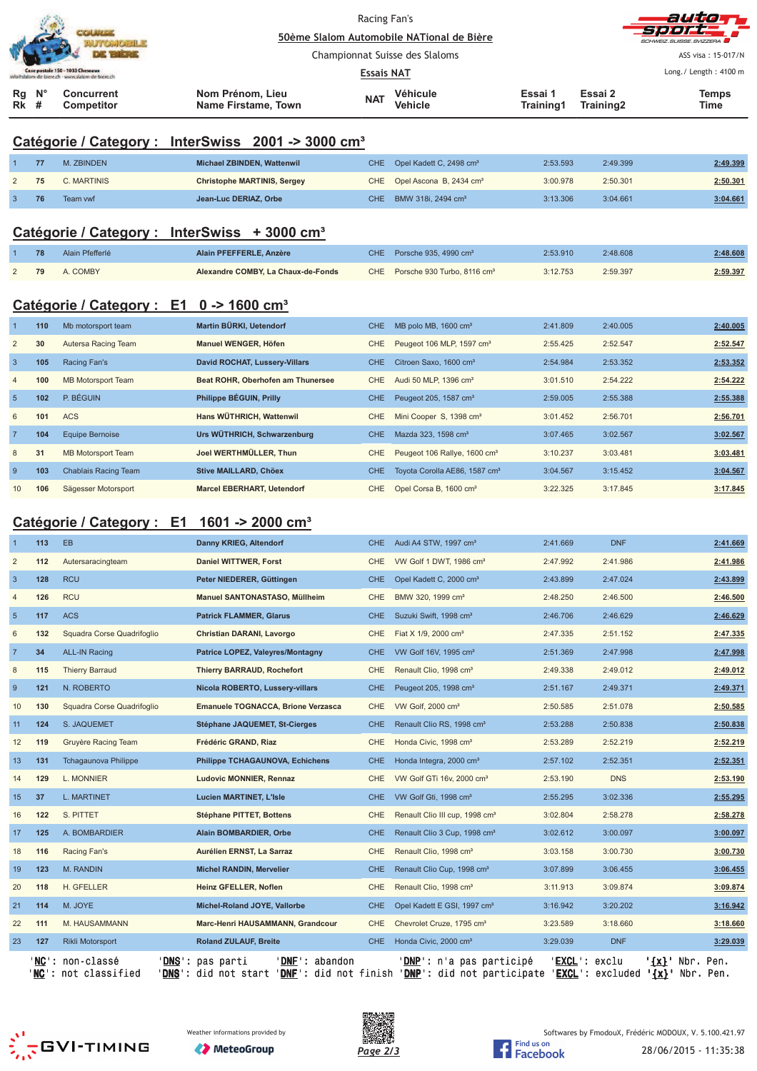|                                                                                      |             | <b>COURSE</b>                   |                                         | Racing Fan's<br>50ème Slalom Automobile NATional de Bière |                            |                      |                      |                       |
|--------------------------------------------------------------------------------------|-------------|---------------------------------|-----------------------------------------|-----------------------------------------------------------|----------------------------|----------------------|----------------------|-----------------------|
|                                                                                      |             |                                 |                                         | Championnat Suisse des Slaloms<br><b>Essais NAT</b>       |                            |                      |                      | ASS visa: 15-017/N    |
| Case postale 150 - 1033 Cheseaux<br>info@slalom-de-biere.ch - www.slalom-de-biere.ch |             |                                 |                                         |                                                           |                            |                      |                      | Long./ Length: 4100 m |
| Rg<br>$Rk$ #                                                                         | $N^{\circ}$ | Concurrent<br><b>Competitor</b> | Nom Prénom, Lieu<br>Name Firstame, Town | <b>NAT</b>                                                | Véhicule<br><b>Vehicle</b> | Essai 1<br>Training1 | Essai 2<br>Training2 | <b>Temps</b><br>Time  |
|                                                                                      |             |                                 |                                         |                                                           |                            |                      |                      |                       |

### **Catégorie / Category : InterSwiss 2001 -> 3000 cm³**

| 77 | M. ZBINDEN  | Michael ZBINDEN, Wattenwil  | CHE Opel Kadett C, 2498 cm <sup>3</sup> | 2:53.593 | 2:49.399 | 2:49.399 |
|----|-------------|-----------------------------|-----------------------------------------|----------|----------|----------|
| 75 | C. MARTINIS | Christophe MARTINIS, Sergey | CHE Opel Ascona B, 2434 cm <sup>3</sup> | 3:00.978 | 2:50.301 | 2:50.301 |
| 76 | Team vwf    | Jean-Luc DERIAZ, Orbe       | CHE BMW 318i, 2494 cm <sup>3</sup>      | 3:13.306 | 3:04.661 | 3:04.661 |

#### **Catégorie / Category : InterSwiss + 3000 cm³**

|      | Alain Pfefferlé | Alain PFEFFERLE, Anzère            | CHE Porsche 935, 4990 $cm3$                 | 2:53.910 | 2:48.608 | 2:48.608          |
|------|-----------------|------------------------------------|---------------------------------------------|----------|----------|-------------------|
| 2 79 | A. COMBY        | Alexandre COMBY, La Chaux-de-Fonds | CHE Porsche 930 Turbo, 8116 cm <sup>3</sup> | 3:12.753 | 2:59.397 | 2:59.397<br>_____ |

### **Catégorie / Category : E1 0 -> 1600 cm³**

|                 | 110 | Mb motorsport team     | Martin BÜRKI, Uetendorf           | CHE.       | MB polo MB, 1600 cm <sup>3</sup>          | 2:41.809 | 2:40.005 | 2:40.005 |
|-----------------|-----|------------------------|-----------------------------------|------------|-------------------------------------------|----------|----------|----------|
| $\overline{2}$  | 30  | Autersa Racing Team    | Manuel WENGER, Höfen              | <b>CHE</b> | Peugeot 106 MLP, 1597 cm <sup>3</sup>     | 2:55.425 | 2:52.547 | 2:52.547 |
| $\mathbf{3}$    | 105 | Racing Fan's           | David ROCHAT, Lussery-Villars     | CHE.       | Citroen Saxo, 1600 cm <sup>3</sup>        | 2:54.984 | 2:53.352 | 2:53.352 |
| $\overline{4}$  | 100 | MB Motorsport Team     | Beat ROHR, Oberhofen am Thunersee | CHE        | Audi 50 MLP. 1396 cm <sup>3</sup>         | 3:01.510 | 2:54.222 | 2:54.222 |
| $5\overline{5}$ | 102 | P. BÉGUIN              | Philippe BÉGUIN, Prilly           | CHE.       | Peugeot 205, 1587 cm <sup>3</sup>         | 2:59.005 | 2:55.388 | 2:55.388 |
| 6               | 101 | <b>ACS</b>             | Hans WÜTHRICH, Wattenwil          | CHE        | Mini Cooper S, 1398 cm <sup>3</sup>       | 3:01.452 | 2:56.701 | 2:56.701 |
|                 | 104 | <b>Equipe Bernoise</b> | Urs WÜTHRICH, Schwarzenburg       | <b>CHE</b> | Mazda 323, 1598 cm <sup>3</sup>           | 3:07.465 | 3:02.567 | 3:02.567 |
| 8               | 31  | MB Motorsport Team     | Joel WERTHMÜLLER, Thun            | CHE        | Peugeot 106 Rallye, 1600 cm <sup>3</sup>  | 3:10.237 | 3:03.481 | 3:03.481 |
| 9               | 103 | Chablais Racing Team   | <b>Stive MAILLARD, Chöex</b>      | <b>CHE</b> | Toyota Corolla AE86, 1587 cm <sup>3</sup> | 3:04.567 | 3:15.452 | 3:04.567 |
| 10              | 106 | Sägesser Motorsport    | <b>Marcel EBERHART, Uetendorf</b> | CHE        | Opel Corsa B, 1600 cm <sup>3</sup>        | 3:22.325 | 3:17.845 | 3:17.845 |

# **Catégorie / Category : E1 1601 -> 2000 cm³**

| $\overline{1}$ | 113    | EB                                           | Danny KRIEG, Altendorf                                                                              | <b>CHE</b> | Audi A4 STW, 1997 cm <sup>3</sup>                               | 2:41.669 | <b>DNF</b>                |                       |           | 2:41.669 |
|----------------|--------|----------------------------------------------|-----------------------------------------------------------------------------------------------------|------------|-----------------------------------------------------------------|----------|---------------------------|-----------------------|-----------|----------|
| $\overline{2}$ | 112    | Autersaracingteam                            | <b>Daniel WITTWER, Forst</b>                                                                        | <b>CHE</b> | VW Golf 1 DWT, 1986 cm <sup>3</sup>                             | 2:47.992 | 2:41.986                  |                       |           | 2:41.986 |
| $\overline{3}$ | 128    | <b>RCU</b>                                   | Peter NIEDERER, Güttingen                                                                           | <b>CHE</b> | Opel Kadett C, 2000 cm <sup>3</sup>                             | 2:43.899 | 2:47.024                  |                       |           | 2:43.899 |
| $\overline{4}$ | 126    | <b>RCU</b>                                   | Manuel SANTONASTASO, Müllheim                                                                       | CHE        | BMW 320, 1999 cm <sup>3</sup>                                   | 2:48.250 | 2:46.500                  |                       |           | 2:46.500 |
| 5              | 117    | <b>ACS</b>                                   | <b>Patrick FLAMMER, Glarus</b>                                                                      | <b>CHE</b> | Suzuki Swift, 1998 cm <sup>3</sup>                              | 2:46.706 | 2:46.629                  |                       |           | 2:46.629 |
| 6              | 132    | Squadra Corse Quadrifoglio                   | Christian DARANI, Lavorgo                                                                           | <b>CHE</b> | Fiat X 1/9, 2000 cm <sup>3</sup>                                | 2:47.335 | 2:51.152                  |                       |           | 2:47.335 |
| $\overline{7}$ | 34     | <b>ALL-IN Racing</b>                         | Patrice LOPEZ, Valeyres/Montagny                                                                    | CHE.       | VW Golf 16V, 1995 cm <sup>3</sup>                               | 2:51.369 | 2:47.998                  |                       |           | 2:47.998 |
| $\bf 8$        | 115    | <b>Thierry Barraud</b>                       | <b>Thierry BARRAUD, Rochefort</b>                                                                   | <b>CHE</b> | Renault Clio, 1998 cm <sup>3</sup>                              | 2:49.338 | 2:49.012                  |                       |           | 2:49.012 |
| 9              | 121    | N. ROBERTO                                   | Nicola ROBERTO, Lussery-villars                                                                     | <b>CHE</b> | Peugeot 205, 1998 cm <sup>3</sup>                               | 2:51.167 | 2:49.371                  |                       |           | 2:49.371 |
| 10             | 130    | Squadra Corse Quadrifoglio                   | Emanuele TOGNACCA, Brione Verzasca                                                                  | <b>CHE</b> | VW Golf, 2000 cm <sup>3</sup>                                   | 2:50.585 | 2:51.078                  |                       |           | 2:50.585 |
| 11             | 124    | S. JAQUEMET                                  | Stéphane JAQUEMET, St-Cierges                                                                       | CHE.       | Renault Clio RS, 1998 cm <sup>3</sup>                           | 2:53.288 | 2:50.838                  |                       |           | 2:50.838 |
| 12             | 119    | Gruyère Racing Team                          | Frédéric GRAND, Riaz                                                                                | <b>CHE</b> | Honda Civic, 1998 cm <sup>3</sup>                               | 2:53.289 | 2:52.219                  |                       |           | 2:52.219 |
| 13             | 131    | <b>Tchagaunova Philippe</b>                  | <b>Philippe TCHAGAUNOVA, Echichens</b>                                                              | CHE.       | Honda Integra, 2000 cm <sup>3</sup>                             | 2:57.102 | 2:52.351                  |                       |           | 2:52.351 |
| 14             | 129    | L. MONNIER                                   | <b>Ludovic MONNIER, Rennaz</b>                                                                      | CHE.       | VW Golf GTi 16v, 2000 cm <sup>3</sup>                           | 2:53.190 | <b>DNS</b>                |                       |           | 2:53.190 |
| 15             | 37     | <b>L. MARTINET</b>                           | <b>Lucien MARTINET, L'Isle</b>                                                                      | CHE.       | VW Golf Gti, 1998 cm <sup>3</sup>                               | 2:55.295 | 3:02.336                  |                       |           | 2:55.295 |
| 16             | 122    | S. PITTET                                    | <b>Stéphane PITTET, Bottens</b>                                                                     | CHE        | Renault Clio III cup, 1998 cm <sup>3</sup>                      | 3:02.804 | 2:58.278                  |                       |           | 2:58.278 |
| 17             | 125    | A. BOMBARDIER                                | Alain BOMBARDIER, Orbe                                                                              | <b>CHE</b> | Renault Clio 3 Cup, 1998 cm <sup>3</sup>                        | 3:02.612 | 3:00.097                  |                       |           | 3:00.097 |
| 18             | 116    | Racing Fan's                                 | Aurélien ERNST, La Sarraz                                                                           | <b>CHE</b> | Renault Clio, 1998 cm <sup>3</sup>                              | 3:03.158 | 3:00.730                  |                       |           | 3:00.730 |
| 19             | 123    | M. RANDIN                                    | <b>Michel RANDIN, Mervelier</b>                                                                     | <b>CHE</b> | Renault Clio Cup, 1998 cm <sup>3</sup>                          | 3:07.899 | 3:06.455                  |                       |           | 3:06.455 |
| 20             | 118    | H. GFELLER                                   | Heinz GFELLER, Noflen                                                                               | <b>CHE</b> | Renault Clio, 1998 cm <sup>3</sup>                              | 3:11.913 | 3:09.874                  |                       |           | 3:09.874 |
| 21             | 114    | M. JOYE                                      | Michel-Roland JOYE, Vallorbe                                                                        | <b>CHE</b> | Opel Kadett E GSI, 1997 cm <sup>3</sup>                         | 3:16.942 | 3:20.202                  |                       |           | 3:16.942 |
| 22             | 111    | M. HAUSAMMANN                                | Marc-Henri HAUSAMMANN, Grandcour                                                                    | CHE        | Chevrolet Cruze, 1795 cm <sup>3</sup>                           | 3:23.589 | 3:18.660                  |                       |           | 3:18.660 |
| 23             | 127    | Rikli Motorsport                             | <b>Roland ZULAUF, Breite</b>                                                                        | CHE.       | Honda Civic, 2000 cm <sup>3</sup>                               | 3:29.039 | <b>DNF</b>                |                       |           | 3:29.039 |
|                | 'NC' : | non-classé<br>'DNS' :<br>NC': not classified | pas parti<br>' DNF<br>٠.<br>abandon<br><b>DNS</b> : did not start<br>' <b>DNF</b> ': did not finish |            | ' <b>DNP</b> ': n'a pas participé<br>'DNP': did not participate | 'EXCL':  | exclu<br>'EXCL': excluded | '{x}' Nbr.<br>$\{x\}$ | Nbr. Pen. | Pen.     |





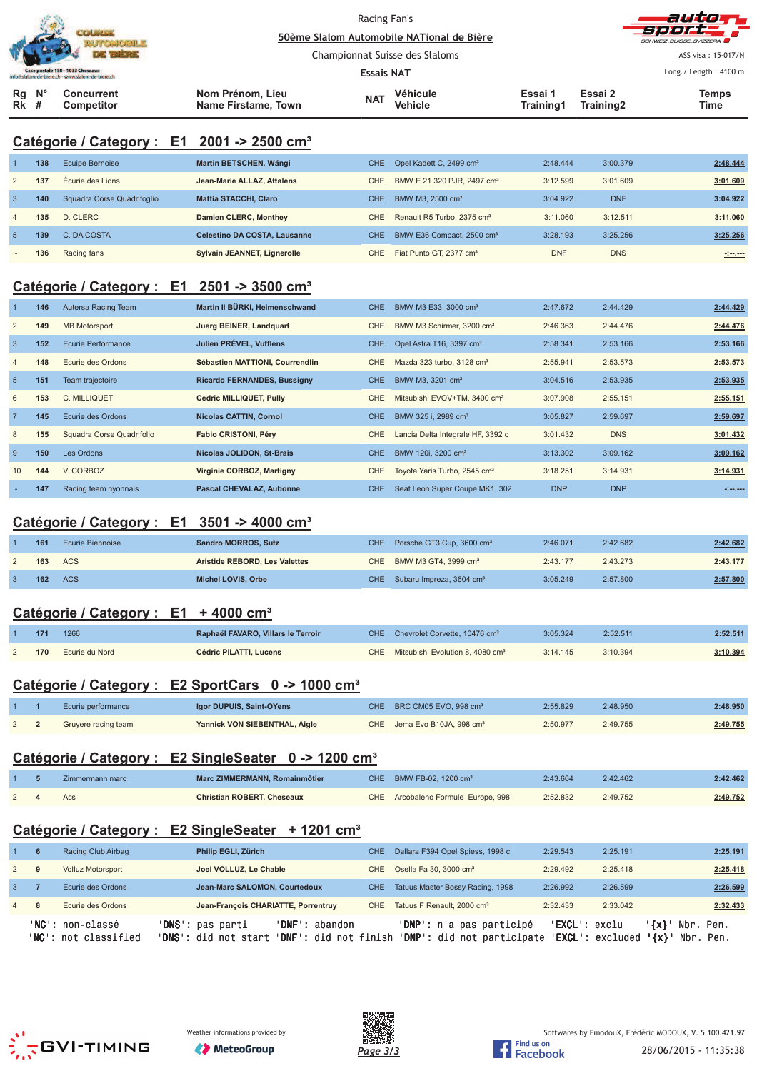|                                 | COURSE<br>Case postale 150 - 1033 Cheseaux |                                 |                                                          | Racing Fan's<br>50ème Slalom Automobile NATional de Bière<br>Championnat Suisse des Slaloms<br><b>Essais NAT</b> |                                        |                      | auto<br>500 C<br>SCHWEIZ SUISSE SVIZZERA<br>ASS visa: 15-017/N<br>Long./ Length: 4100 m |                      |  |  |
|---------------------------------|--------------------------------------------|---------------------------------|----------------------------------------------------------|------------------------------------------------------------------------------------------------------------------|----------------------------------------|----------------------|-----------------------------------------------------------------------------------------|----------------------|--|--|
| $Rg$ $N^{\circ}$<br><b>Rk</b> # |                                            | <b>Concurrent</b><br>Competitor | Nom Prénom, Lieu<br>Name Firstame, Town                  | <b>NAT</b>                                                                                                       | Véhicule<br><b>Vehicle</b>             | Essai 1<br>Training1 | Essai 2<br>Training2                                                                    | <b>Temps</b><br>Time |  |  |
|                                 |                                            |                                 | Catégorie / Category : $E1$ 2001 -> 2500 cm <sup>3</sup> |                                                                                                                  |                                        |                      |                                                                                         |                      |  |  |
|                                 | 138                                        | <b>Ecuipe Bernoise</b>          | Martin BETSCHEN, Wängi                                   | CHE.                                                                                                             | Opel Kadett C, 2499 cm <sup>3</sup>    | 2:48.444             | 3:00.379                                                                                | 2:48.444             |  |  |
| $\overline{2}$                  | 137                                        | Écurie des Lions                | Jean-Marie ALLAZ, Attalens                               | CHE.                                                                                                             | BMW E 21 320 PJR, 2497 cm <sup>3</sup> | 3:12.599             | 3:01.609                                                                                | 3:01.609             |  |  |
| $\mathbf{3}$                    | 140                                        | Squadra Corse Quadrifoglio      | <b>Mattia STACCHI, Claro</b>                             | CHE.                                                                                                             | BMW M3, 2500 cm <sup>3</sup>           | 3:04.922             | <b>DNF</b>                                                                              | 3:04.922             |  |  |
| $\overline{4}$                  | 135                                        | D. CLERC                        | Damien CLERC, Monthey                                    | <b>CHE</b>                                                                                                       | Renault R5 Turbo, 2375 cm <sup>3</sup> | 3:11.060             | 3:12.511                                                                                | 3:11.060             |  |  |

5 **139** C. DA COSTA **Celestino DA COSTA, Lausanne** CHE BMW E36 Compact, 2500 cm³ 3:28.193 3:25.256 **3:25.256** 136 Racing fans **Sylvain JEANNET, Lignerolle** CHE Fiat Punto GT, 2377 cm<sup>3</sup> DNF DNS **-:-----**

| Catégorie / Category : E1 2501 -> 3500 cm <sup>3</sup> |  |  |
|--------------------------------------------------------|--|--|
|                                                        |  |  |

|                 | 146 | Autersa Racing Team       | Martin II BÜRKI, Heimenschwand     | <b>CHE</b> | BMW M3 E33, 3000 cm <sup>3</sup>         | 2:47.672   | 2:44.429   | 2:44.429 |
|-----------------|-----|---------------------------|------------------------------------|------------|------------------------------------------|------------|------------|----------|
| $\overline{2}$  | 149 | <b>MB</b> Motorsport      | Juerg BEINER, Landquart            | CHE.       | BMW M3 Schirmer, 3200 cm <sup>3</sup>    | 2:46.363   | 2:44.476   | 2:44.476 |
| $\overline{3}$  | 152 | Ecurie Performance        | Julien PRÉVEL, Vufflens            | <b>CHE</b> | Opel Astra T16, 3397 cm <sup>3</sup>     | 2:58.341   | 2:53.166   | 2:53.166 |
| $\overline{4}$  | 148 | Ecurie des Ordons         | Sébastien MATTIONI, Courrendlin    | CHE.       | Mazda 323 turbo, 3128 cm <sup>3</sup>    | 2:55.941   | 2:53.573   | 2:53.573 |
| $5^{\circ}$     | 151 | Team trajectoire          | <b>Ricardo FERNANDES, Bussigny</b> | CHE.       | BMW M3, 3201 cm <sup>3</sup>             | 3:04.516   | 2:53.935   | 2:53.935 |
| 6               | 153 | C. MILLIQUET              | <b>Cedric MILLIQUET, Pully</b>     | CHE.       | Mitsubishi EVOV+TM, 3400 cm <sup>3</sup> | 3:07.908   | 2:55.151   | 2:55.151 |
| $\overline{7}$  | 145 | Ecurie des Ordons         | <b>Nicolas CATTIN, Cornol</b>      | CHE.       | BMW 325 i. 2989 cm <sup>3</sup>          | 3:05.827   | 2:59.697   | 2:59.697 |
| 8               | 155 | Squadra Corse Quadrifolio | <b>Fabio CRISTONI, Péry</b>        | <b>CHE</b> | Lancia Delta Integrale HF, 3392 c        | 3:01.432   | <b>DNS</b> | 3:01.432 |
| 9               | 150 | Les Ordons                | Nicolas JOLIDON, St-Brais          | CHE.       | BMW 120i, 3200 cm <sup>3</sup>           | 3:13.302   | 3:09.162   | 3:09.162 |
| 10 <sup>1</sup> | 144 | V. CORBOZ                 | Virginie CORBOZ, Martigny          | CHE        | Toyota Yaris Turbo, 2545 cm <sup>3</sup> | 3:18.251   | 3:14.931   | 3:14.931 |
|                 | 147 | Racing team nyonnais      | <b>Pascal CHEVALAZ, Aubonne</b>    | <b>CHE</b> | Seat Leon Super Coupe MK1, 302           | <b>DNP</b> | <b>DNP</b> | $-1 - 1$ |

# **Catégorie / Category : E1 3501 -> 4000 cm³**

| 161 | Ecurie Biennoise | <b>Sandro MORROS, Sutz</b>    | CHE Porsche GT3 Cup, 3600 cm <sup>3</sup> | 2:46.071 | 2:42.682 | 2:42.682 |
|-----|------------------|-------------------------------|-------------------------------------------|----------|----------|----------|
| 163 | ACS              | Aristide REBORD, Les Valettes | CHE BMW M3 GT4, 3999 cm <sup>3</sup>      | 2:43.177 | 2:43.273 | 2:43.177 |
| 162 | ACS              | Michel LOVIS, Orbe            | CHE Subaru Impreza, 3604 cm <sup>3</sup>  | 3:05.249 | 2:57.800 | 2:57.800 |

# **Catégorie / Category : E1 + 4000 cm³**

| 171 | 1266           | Raphaël FAVARO, Villars le Terroir | CHE Chevrolet Corvette, 10476 cm <sup>3</sup>    | 3:05.324 | 2:52.511 | 2:52.511 |
|-----|----------------|------------------------------------|--------------------------------------------------|----------|----------|----------|
| 170 | Ecurie du Nord | Cédric PILATTI, Lucens             | CHE Mitsubishi Evolution 8, 4080 cm <sup>3</sup> | 3:14.145 | 3:10.394 | 3:10.394 |

# **Catégorie / Category : E2 SportCars 0 -> 1000 cm³**

|  | Ecurie performance  | Igor DUPUIS, Saint-OYens      | CHE BRC CM05 EVO, 998 cm <sup>3</sup>   | 2:55.829 | 2:48.950 | <u>2:48.950</u> |
|--|---------------------|-------------------------------|-----------------------------------------|----------|----------|-----------------|
|  | Gruyere racing team | Yannick VON SIEBENTHAL, Aigle | CHE Jema Evo B10JA, 998 cm <sup>3</sup> | 2:50.977 | 2:49.755 | 2:49.755        |

# **Catégorie / Category : E2 SingleSeater 0 -> 1200 cm³**

|  | Zimmermann marc | Marc ZIMMERMANN, Romainmôtier     | CHE BMW FB-02, 1200 cm <sup>3</sup> | 2:43.664 | 2:42.462 | 2:42.462 |
|--|-----------------|-----------------------------------|-------------------------------------|----------|----------|----------|
|  | Acs             | <b>Christian ROBERT, Cheseaux</b> | CHE Arcobaleno Formule Europe, 998  | 2:52.832 | 2:49.752 | 2:49.752 |

# **Catégorie / Category : E2 SingleSeater + 1201 cm³**

|                  | - 6 | Racing Club Airbag                               | Philip EGLI, Zürich                               |                                         | CHE  | Dallara F394 Opel Spiess, 1998 c                                | 2:29.543               | 2:25.191                  |                      |                        | 2:25.191 |
|------------------|-----|--------------------------------------------------|---------------------------------------------------|-----------------------------------------|------|-----------------------------------------------------------------|------------------------|---------------------------|----------------------|------------------------|----------|
| $2^9$            |     | <b>Volluz Motorsport</b>                         | Joel VOLLUZ, Le Chable                            |                                         | CHE. | Osella Fa 30, 3000 cm <sup>3</sup>                              | 2:29.492               | 2:25.418                  |                      |                        | 2:25.418 |
| $3 \overline{7}$ |     | Ecurie des Ordons                                | Jean-Marc SALOMON, Courtedoux                     |                                         | CHE. | Tatuus Master Bossy Racing, 1998                                | 2:26.992               | 2:26.599                  |                      |                        | 2:26.599 |
| $4 \quad 8$      |     | Ecurie des Ordons                                | Jean-François CHARIATTE, Porrentruy               |                                         | CHE. | Tatuus F Renault, 2000 cm <sup>3</sup>                          | 2:32.433               | 2:33.042                  |                      |                        | 2:32.433 |
|                  |     | ' <b>NC':</b> non-classé<br>'NC': not classified | ' <b>DNS</b> ': pas parti<br>'DNS': did not start | 'DNF': abandon<br>'DNF': did not finish |      | 'DNP': n'a pas participé<br>' <b>DNP</b> ': did not participate | ' <b>EXCL</b> ': exclu | ' <b>EXCL</b> ': excluded | '{x}'<br>$'$ {x} $'$ | Nbr. Pen.<br>Nbr. Pen. |          |